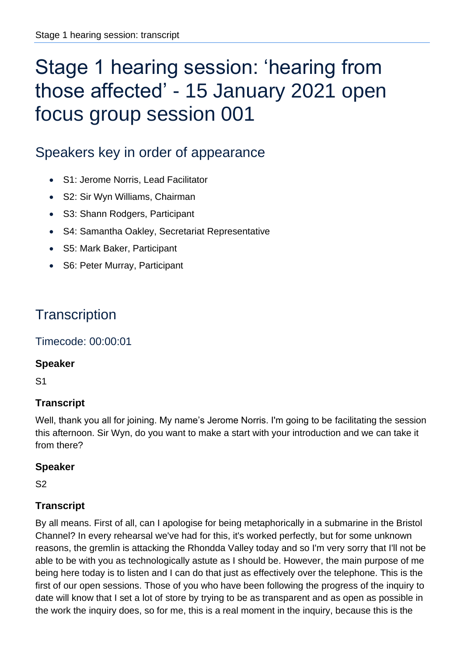# Stage 1 hearing session: 'hearing from those affected' - 15 January 2021 open focus group session 001

## Speakers key in order of appearance

- S1: Jerome Norris, Lead Facilitator
- S2: Sir Wyn Williams, Chairman
- S3: Shann Rodgers, Participant
- S4: Samantha Oakley, Secretariat Representative
- S5: Mark Baker, Participant
- S6: Peter Murray, Participant

## **Transcription**

Timecode: 00:00:01

#### **Speaker**

S1

## **Transcript**

Well, thank you all for joining. My name's Jerome Norris. I'm going to be facilitating the session this afternoon. Sir Wyn, do you want to make a start with your introduction and we can take it from there?

#### **Speaker**

S2

#### **Transcript**

By all means. First of all, can I apologise for being metaphorically in a submarine in the Bristol Channel? In every rehearsal we've had for this, it's worked perfectly, but for some unknown reasons, the gremlin is attacking the Rhondda Valley today and so I'm very sorry that I'll not be able to be with you as technologically astute as I should be. However, the main purpose of me being here today is to listen and I can do that just as effectively over the telephone. This is the first of our open sessions. Those of you who have been following the progress of the inquiry to date will know that I set a lot of store by trying to be as transparent and as open as possible in the work the inquiry does, so for me, this is a real moment in the inquiry, because this is the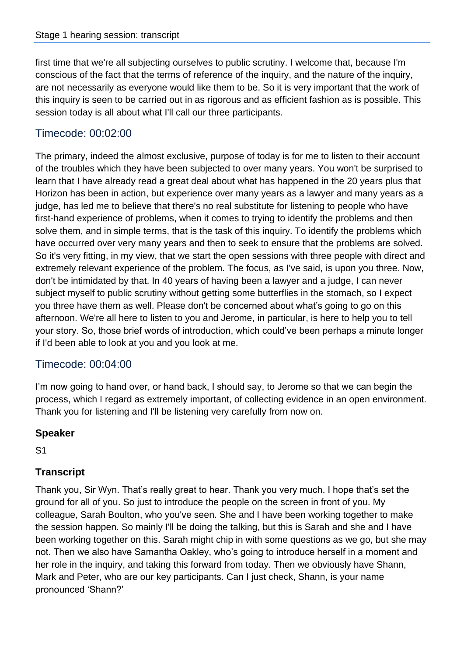first time that we're all subjecting ourselves to public scrutiny. I welcome that, because I'm conscious of the fact that the terms of reference of the inquiry, and the nature of the inquiry, are not necessarily as everyone would like them to be. So it is very important that the work of this inquiry is seen to be carried out in as rigorous and as efficient fashion as is possible. This session today is all about what I'll call our three participants.

## Timecode: 00:02:00

The primary, indeed the almost exclusive, purpose of today is for me to listen to their account of the troubles which they have been subjected to over many years. You won't be surprised to learn that I have already read a great deal about what has happened in the 20 years plus that Horizon has been in action, but experience over many years as a lawyer and many years as a judge, has led me to believe that there's no real substitute for listening to people who have first-hand experience of problems, when it comes to trying to identify the problems and then solve them, and in simple terms, that is the task of this inquiry. To identify the problems which have occurred over very many years and then to seek to ensure that the problems are solved. So it's very fitting, in my view, that we start the open sessions with three people with direct and extremely relevant experience of the problem. The focus, as I've said, is upon you three. Now, don't be intimidated by that. In 40 years of having been a lawyer and a judge, I can never subject myself to public scrutiny without getting some butterflies in the stomach, so I expect you three have them as well. Please don't be concerned about what's going to go on this afternoon. We're all here to listen to you and Jerome, in particular, is here to help you to tell your story. So, those brief words of introduction, which could've been perhaps a minute longer if I'd been able to look at you and you look at me.

## Timecode: 00:04:00

I'm now going to hand over, or hand back, I should say, to Jerome so that we can begin the process, which I regard as extremely important, of collecting evidence in an open environment. Thank you for listening and I'll be listening very carefully from now on.

## **Speaker**

S1

## **Transcript**

Thank you, Sir Wyn. That's really great to hear. Thank you very much. I hope that's set the ground for all of you. So just to introduce the people on the screen in front of you. My colleague, Sarah Boulton, who you've seen. She and I have been working together to make the session happen. So mainly I'll be doing the talking, but this is Sarah and she and I have been working together on this. Sarah might chip in with some questions as we go, but she may not. Then we also have Samantha Oakley, who's going to introduce herself in a moment and her role in the inquiry, and taking this forward from today. Then we obviously have Shann, Mark and Peter, who are our key participants. Can I just check, Shann, is your name pronounced 'Shann?'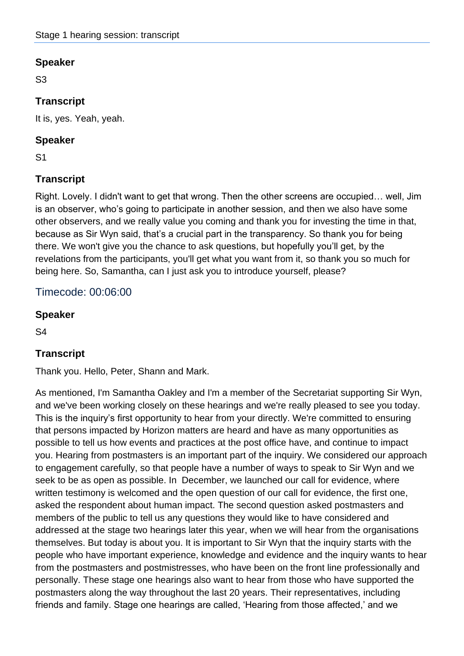S3

## **Transcript**

It is, yes. Yeah, yeah.

#### **Speaker**

S1

## **Transcript**

Right. Lovely. I didn't want to get that wrong. Then the other screens are occupied… well, Jim is an observer, who's going to participate in another session, and then we also have some other observers, and we really value you coming and thank you for investing the time in that, because as Sir Wyn said, that's a crucial part in the transparency. So thank you for being there. We won't give you the chance to ask questions, but hopefully you'll get, by the revelations from the participants, you'll get what you want from it, so thank you so much for being here. So, Samantha, can I just ask you to introduce yourself, please?

## Timecode: 00:06:00

#### **Speaker**

S4

## **Transcript**

Thank you. Hello, Peter, Shann and Mark.

As mentioned, I'm Samantha Oakley and I'm a member of the Secretariat supporting Sir Wyn, and we've been working closely on these hearings and we're really pleased to see you today. This is the inquiry's first opportunity to hear from your directly. We're committed to ensuring that persons impacted by Horizon matters are heard and have as many opportunities as possible to tell us how events and practices at the post office have, and continue to impact you. Hearing from postmasters is an important part of the inquiry. We considered our approach to engagement carefully, so that people have a number of ways to speak to Sir Wyn and we seek to be as open as possible. In December, we launched our call for evidence, where written testimony is welcomed and the open question of our call for evidence, the first one, asked the respondent about human impact. The second question asked postmasters and members of the public to tell us any questions they would like to have considered and addressed at the stage two hearings later this year, when we will hear from the organisations themselves. But today is about you. It is important to Sir Wyn that the inquiry starts with the people who have important experience, knowledge and evidence and the inquiry wants to hear from the postmasters and postmistresses, who have been on the front line professionally and personally. These stage one hearings also want to hear from those who have supported the postmasters along the way throughout the last 20 years. Their representatives, including friends and family. Stage one hearings are called, 'Hearing from those affected,' and we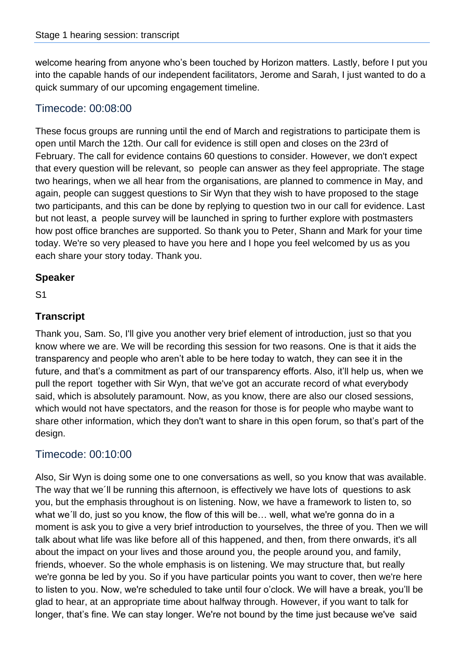welcome hearing from anyone who's been touched by Horizon matters. Lastly, before I put you into the capable hands of our independent facilitators, Jerome and Sarah, I just wanted to do a quick summary of our upcoming engagement timeline.

## Timecode: 00:08:00

These focus groups are running until the end of March and registrations to participate them is open until March the 12th. Our call for evidence is still open and closes on the 23rd of February. The call for evidence contains 60 questions to consider. However, we don't expect that every question will be relevant, so people can answer as they feel appropriate. The stage two hearings, when we all hear from the organisations, are planned to commence in May, and again, people can suggest questions to Sir Wyn that they wish to have proposed to the stage two participants, and this can be done by replying to question two in our call for evidence. Last but not least, a people survey will be launched in spring to further explore with postmasters how post office branches are supported. So thank you to Peter, Shann and Mark for your time today. We're so very pleased to have you here and I hope you feel welcomed by us as you each share your story today. Thank you.

#### **Speaker**

S1

#### **Transcript**

Thank you, Sam. So, I'll give you another very brief element of introduction, just so that you know where we are. We will be recording this session for two reasons. One is that it aids the transparency and people who aren't able to be here today to watch, they can see it in the future, and that's a commitment as part of our transparency efforts. Also, it'll help us, when we pull the report together with Sir Wyn, that we've got an accurate record of what everybody said, which is absolutely paramount. Now, as you know, there are also our closed sessions, which would not have spectators, and the reason for those is for people who maybe want to share other information, which they don't want to share in this open forum, so that's part of the design.

## Timecode: 00:10:00

Also, Sir Wyn is doing some one to one conversations as well, so you know that was available. The way that we´ll be running this afternoon, is effectively we have lots of questions to ask you, but the emphasis throughout is on listening. Now, we have a framework to listen to, so what we´ll do, just so you know, the flow of this will be… well, what we're gonna do in a moment is ask you to give a very brief introduction to yourselves, the three of you. Then we will talk about what life was like before all of this happened, and then, from there onwards, it's all about the impact on your lives and those around you, the people around you, and family, friends, whoever. So the whole emphasis is on listening. We may structure that, but really we're gonna be led by you. So if you have particular points you want to cover, then we're here to listen to you. Now, we're scheduled to take until four o'clock. We will have a break, you'll be glad to hear, at an appropriate time about halfway through. However, if you want to talk for longer, that's fine. We can stay longer. We're not bound by the time just because we've said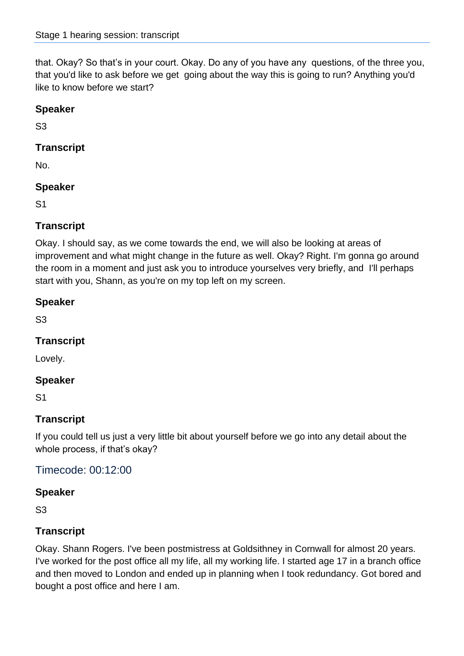that. Okay? So that's in your court. Okay. Do any of you have any questions, of the three you, that you'd like to ask before we get going about the way this is going to run? Anything you'd like to know before we start?

## **Speaker**

S3

## **Transcript**

No.

## **Speaker**

S1

## **Transcript**

Okay. I should say, as we come towards the end, we will also be looking at areas of improvement and what might change in the future as well. Okay? Right. I'm gonna go around the room in a moment and just ask you to introduce yourselves very briefly, and I'll perhaps start with you, Shann, as you're on my top left on my screen.

#### **Speaker**

S3

## **Transcript**

Lovely.

## **Speaker**

S1

## **Transcript**

If you could tell us just a very little bit about yourself before we go into any detail about the whole process, if that's okay?

Timecode: 00:12:00

## **Speaker**

S3

## **Transcript**

Okay. Shann Rogers. I've been postmistress at Goldsithney in Cornwall for almost 20 years. I've worked for the post office all my life, all my working life. I started age 17 in a branch office and then moved to London and ended up in planning when I took redundancy. Got bored and bought a post office and here I am.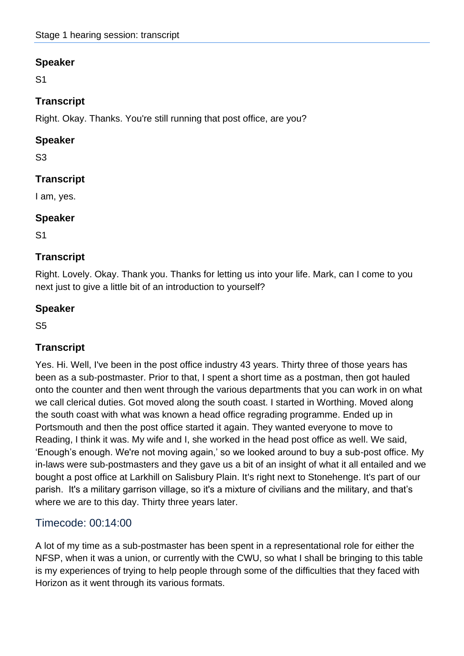S1

## **Transcript**

Right. Okay. Thanks. You're still running that post office, are you?

## **Speaker**

S3

## **Transcript**

I am, yes.

#### **Speaker**

S1

#### **Transcript**

Right. Lovely. Okay. Thank you. Thanks for letting us into your life. Mark, can I come to you next just to give a little bit of an introduction to yourself?

## **Speaker**

S5

## **Transcript**

Yes. Hi. Well, I've been in the post office industry 43 years. Thirty three of those years has been as a sub-postmaster. Prior to that, I spent a short time as a postman, then got hauled onto the counter and then went through the various departments that you can work in on what we call clerical duties. Got moved along the south coast. I started in Worthing. Moved along the south coast with what was known a head office regrading programme. Ended up in Portsmouth and then the post office started it again. They wanted everyone to move to Reading, I think it was. My wife and I, she worked in the head post office as well. We said, 'Enough's enough. We're not moving again,' so we looked around to buy a sub-post office. My in-laws were sub-postmasters and they gave us a bit of an insight of what it all entailed and we bought a post office at Larkhill on Salisbury Plain. It's right next to Stonehenge. It's part of our parish. It's a military garrison village, so it's a mixture of civilians and the military, and that's where we are to this day. Thirty three years later.

## Timecode: 00:14:00

A lot of my time as a sub-postmaster has been spent in a representational role for either the NFSP, when it was a union, or currently with the CWU, so what I shall be bringing to this table is my experiences of trying to help people through some of the difficulties that they faced with Horizon as it went through its various formats.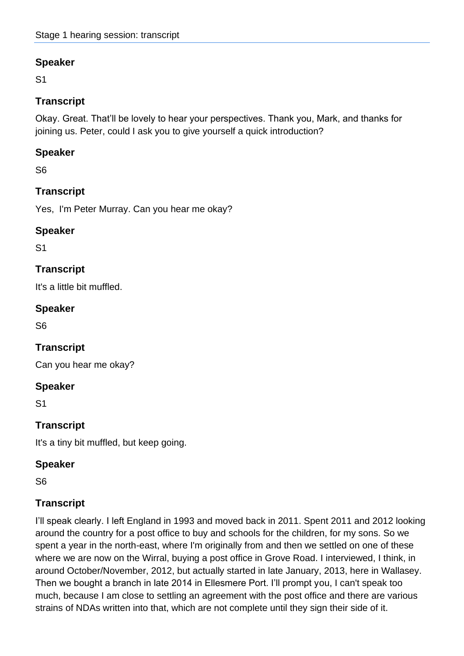S1

## **Transcript**

Okay. Great. That'll be lovely to hear your perspectives. Thank you, Mark, and thanks for joining us. Peter, could I ask you to give yourself a quick introduction?

## **Speaker**

S6

## **Transcript**

Yes, I'm Peter Murray. Can you hear me okay?

#### **Speaker**

S1

## **Transcript**

It's a little bit muffled.

#### **Speaker**

S6

## **Transcript**

Can you hear me okay?

#### **Speaker**

S1

## **Transcript**

It's a tiny bit muffled, but keep going.

#### **Speaker**

S6

## **Transcript**

I'll speak clearly. I left England in 1993 and moved back in 2011. Spent 2011 and 2012 looking around the country for a post office to buy and schools for the children, for my sons. So we spent a year in the north-east, where I'm originally from and then we settled on one of these where we are now on the Wirral, buying a post office in Grove Road. I interviewed, I think, in around October/November, 2012, but actually started in late January, 2013, here in Wallasey. Then we bought a branch in late 2014 in Ellesmere Port. I'll prompt you, I can't speak too much, because I am close to settling an agreement with the post office and there are various strains of NDAs written into that, which are not complete until they sign their side of it.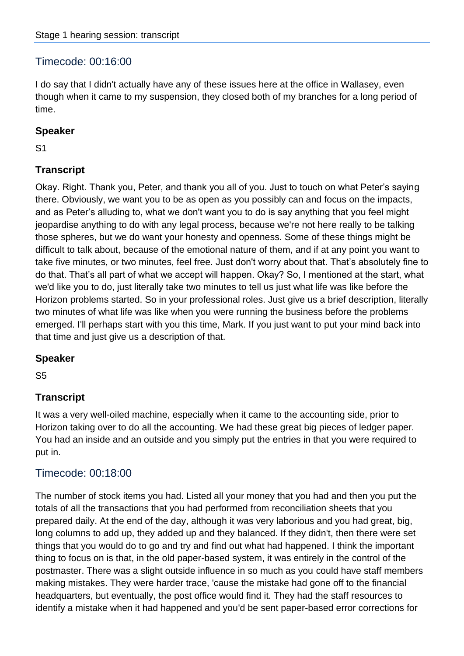## Timecode: 00:16:00

I do say that I didn't actually have any of these issues here at the office in Wallasey, even though when it came to my suspension, they closed both of my branches for a long period of time.

#### **Speaker**

S1

## **Transcript**

Okay. Right. Thank you, Peter, and thank you all of you. Just to touch on what Peter's saying there. Obviously, we want you to be as open as you possibly can and focus on the impacts, and as Peter's alluding to, what we don't want you to do is say anything that you feel might jeopardise anything to do with any legal process, because we're not here really to be talking those spheres, but we do want your honesty and openness. Some of these things might be difficult to talk about, because of the emotional nature of them, and if at any point you want to take five minutes, or two minutes, feel free. Just don't worry about that. That's absolutely fine to do that. That's all part of what we accept will happen. Okay? So, I mentioned at the start, what we'd like you to do, just literally take two minutes to tell us just what life was like before the Horizon problems started. So in your professional roles. Just give us a brief description, literally two minutes of what life was like when you were running the business before the problems emerged. I'll perhaps start with you this time, Mark. If you just want to put your mind back into that time and just give us a description of that.

#### **Speaker**

S5

## **Transcript**

It was a very well-oiled machine, especially when it came to the accounting side, prior to Horizon taking over to do all the accounting. We had these great big pieces of ledger paper. You had an inside and an outside and you simply put the entries in that you were required to put in.

## Timecode: 00:18:00

The number of stock items you had. Listed all your money that you had and then you put the totals of all the transactions that you had performed from reconciliation sheets that you prepared daily. At the end of the day, although it was very laborious and you had great, big, long columns to add up, they added up and they balanced. If they didn't, then there were set things that you would do to go and try and find out what had happened. I think the important thing to focus on is that, in the old paper-based system, it was entirely in the control of the postmaster. There was a slight outside influence in so much as you could have staff members making mistakes. They were harder trace, 'cause the mistake had gone off to the financial headquarters, but eventually, the post office would find it. They had the staff resources to identify a mistake when it had happened and you'd be sent paper-based error corrections for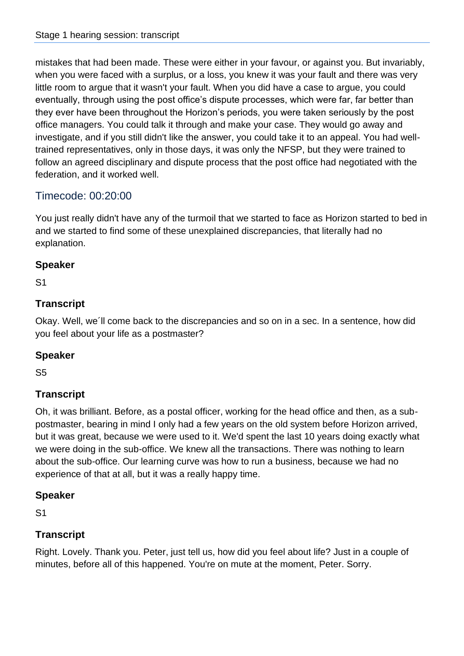mistakes that had been made. These were either in your favour, or against you. But invariably, when you were faced with a surplus, or a loss, you knew it was your fault and there was very little room to argue that it wasn't your fault. When you did have a case to argue, you could eventually, through using the post office's dispute processes, which were far, far better than they ever have been throughout the Horizon's periods, you were taken seriously by the post office managers. You could talk it through and make your case. They would go away and investigate, and if you still didn't like the answer, you could take it to an appeal. You had welltrained representatives, only in those days, it was only the NFSP, but they were trained to follow an agreed disciplinary and dispute process that the post office had negotiated with the federation, and it worked well.

## Timecode: 00:20:00

You just really didn't have any of the turmoil that we started to face as Horizon started to bed in and we started to find some of these unexplained discrepancies, that literally had no explanation.

## **Speaker**

S1

## **Transcript**

Okay. Well, we´ll come back to the discrepancies and so on in a sec. In a sentence, how did you feel about your life as a postmaster?

#### **Speaker**

S5

## **Transcript**

Oh, it was brilliant. Before, as a postal officer, working for the head office and then, as a subpostmaster, bearing in mind I only had a few years on the old system before Horizon arrived, but it was great, because we were used to it. We'd spent the last 10 years doing exactly what we were doing in the sub-office. We knew all the transactions. There was nothing to learn about the sub-office. Our learning curve was how to run a business, because we had no experience of that at all, but it was a really happy time.

#### **Speaker**

S1

#### **Transcript**

Right. Lovely. Thank you. Peter, just tell us, how did you feel about life? Just in a couple of minutes, before all of this happened. You're on mute at the moment, Peter. Sorry.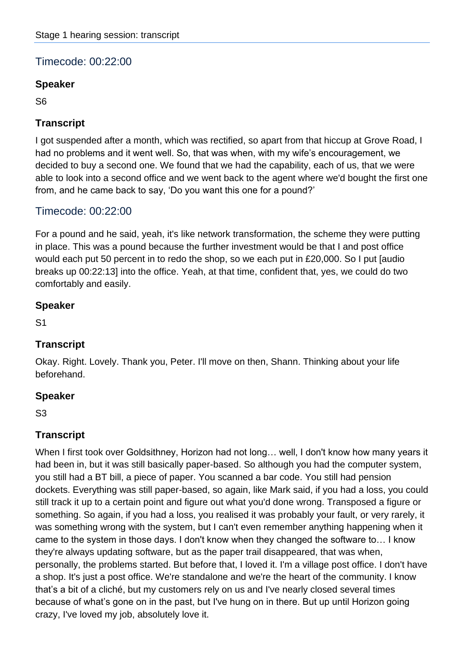## Timecode: 00:22:00

#### **Speaker**

S6

## **Transcript**

I got suspended after a month, which was rectified, so apart from that hiccup at Grove Road, I had no problems and it went well. So, that was when, with my wife's encouragement, we decided to buy a second one. We found that we had the capability, each of us, that we were able to look into a second office and we went back to the agent where we'd bought the first one from, and he came back to say, 'Do you want this one for a pound?'

## Timecode: 00:22:00

For a pound and he said, yeah, it's like network transformation, the scheme they were putting in place. This was a pound because the further investment would be that I and post office would each put 50 percent in to redo the shop, so we each put in £20,000. So I put [audio breaks up 00:22:13] into the office. Yeah, at that time, confident that, yes, we could do two comfortably and easily.

#### **Speaker**

S1

## **Transcript**

Okay. Right. Lovely. Thank you, Peter. I'll move on then, Shann. Thinking about your life beforehand.

## **Speaker**

S3

## **Transcript**

When I first took over Goldsithney, Horizon had not long… well, I don't know how many years it had been in, but it was still basically paper-based. So although you had the computer system, you still had a BT bill, a piece of paper. You scanned a bar code. You still had pension dockets. Everything was still paper-based, so again, like Mark said, if you had a loss, you could still track it up to a certain point and figure out what you'd done wrong. Transposed a figure or something. So again, if you had a loss, you realised it was probably your fault, or very rarely, it was something wrong with the system, but I can't even remember anything happening when it came to the system in those days. I don't know when they changed the software to… I know they're always updating software, but as the paper trail disappeared, that was when, personally, the problems started. But before that, I loved it. I'm a village post office. I don't have a shop. It's just a post office. We're standalone and we're the heart of the community. I know that's a bit of a cliché, but my customers rely on us and I've nearly closed several times because of what's gone on in the past, but I've hung on in there. But up until Horizon going crazy, I've loved my job, absolutely love it.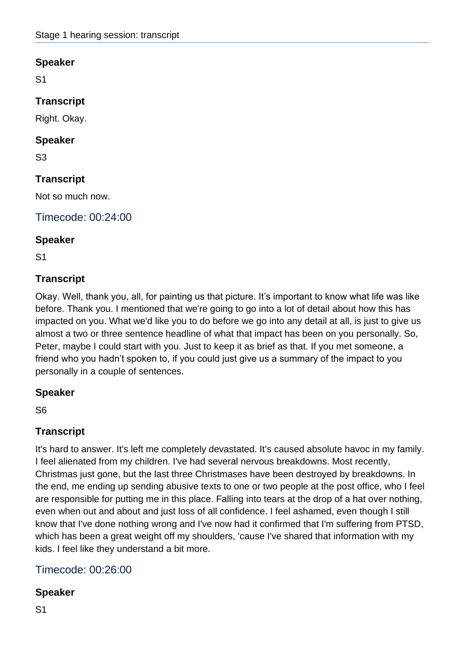S1

## **Transcript**

Right. Okay.

#### **Speaker**

S3

## **Transcript**

Not so much now.

Timecode: 00:24:00

#### **Speaker**

S1

## **Transcript**

Okay. Well, thank you, all, for painting us that picture. It's important to know what life was like before. Thank you. I mentioned that we're going to go into a lot of detail about how this has impacted on you. What we'd like you to do before we go into any detail at all, is just to give us almost a two or three sentence headline of what that impact has been on you personally. So, Peter, maybe I could start with you. Just to keep it as brief as that. If you met someone, a friend who you hadn't spoken to, if you could just give us a summary of the impact to you personally in a couple of sentences.

#### **Speaker**

S6

## **Transcript**

It's hard to answer. It's left me completely devastated. It's caused absolute havoc in my family. I feel alienated from my children. I've had several nervous breakdowns. Most recently, Christmas just gone, but the last three Christmases have been destroyed by breakdowns. In the end, me ending up sending abusive texts to one or two people at the post office, who I feel are responsible for putting me in this place. Falling into tears at the drop of a hat over nothing, even when out and about and just loss of all confidence. I feel ashamed, even though I still know that I've done nothing wrong and I've now had it confirmed that I'm suffering from PTSD, which has been a great weight off my shoulders, 'cause I've shared that information with my kids. I feel like they understand a bit more.

## Timecode: 00:26:00

## **Speaker**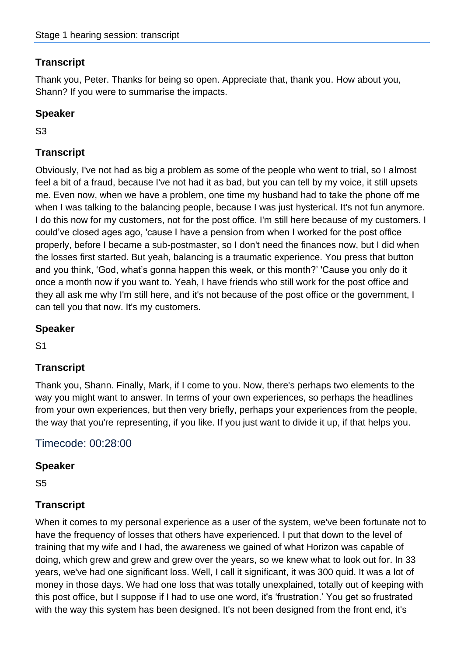Thank you, Peter. Thanks for being so open. Appreciate that, thank you. How about you, Shann? If you were to summarise the impacts.

## **Speaker**

S3

## **Transcript**

Obviously, I've not had as big a problem as some of the people who went to trial, so I almost feel a bit of a fraud, because I've not had it as bad, but you can tell by my voice, it still upsets me. Even now, when we have a problem, one time my husband had to take the phone off me when I was talking to the balancing people, because I was just hysterical. It's not fun anymore. I do this now for my customers, not for the post office. I'm still here because of my customers. I could've closed ages ago, 'cause I have a pension from when I worked for the post office properly, before I became a sub-postmaster, so I don't need the finances now, but I did when the losses first started. But yeah, balancing is a traumatic experience. You press that button and you think, 'God, what's gonna happen this week, or this month?' 'Cause you only do it once a month now if you want to. Yeah, I have friends who still work for the post office and they all ask me why I'm still here, and it's not because of the post office or the government, I can tell you that now. It's my customers.

#### **Speaker**

S1

## **Transcript**

Thank you, Shann. Finally, Mark, if I come to you. Now, there's perhaps two elements to the way you might want to answer. In terms of your own experiences, so perhaps the headlines from your own experiences, but then very briefly, perhaps your experiences from the people, the way that you're representing, if you like. If you just want to divide it up, if that helps you.

## Timecode: 00:28:00

#### **Speaker**

S5

## **Transcript**

When it comes to my personal experience as a user of the system, we've been fortunate not to have the frequency of losses that others have experienced. I put that down to the level of training that my wife and I had, the awareness we gained of what Horizon was capable of doing, which grew and grew and grew over the years, so we knew what to look out for. In 33 years, we've had one significant loss. Well, I call it significant, it was 300 quid. It was a lot of money in those days. We had one loss that was totally unexplained, totally out of keeping with this post office, but I suppose if I had to use one word, it's 'frustration.' You get so frustrated with the way this system has been designed. It's not been designed from the front end, it's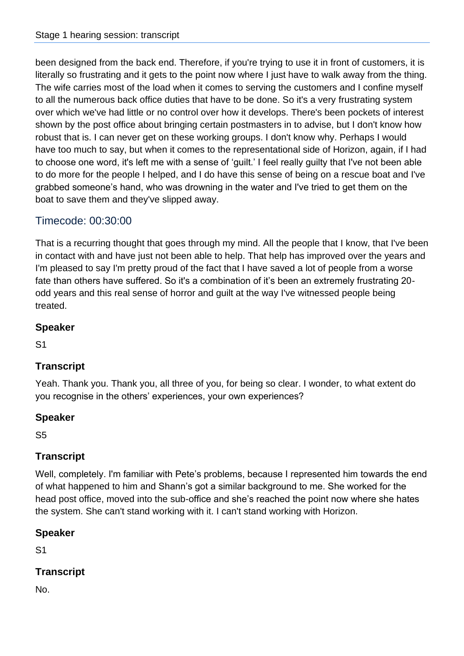been designed from the back end. Therefore, if you're trying to use it in front of customers, it is literally so frustrating and it gets to the point now where I just have to walk away from the thing. The wife carries most of the load when it comes to serving the customers and I confine myself to all the numerous back office duties that have to be done. So it's a very frustrating system over which we've had little or no control over how it develops. There's been pockets of interest shown by the post office about bringing certain postmasters in to advise, but I don't know how robust that is. I can never get on these working groups. I don't know why. Perhaps I would have too much to say, but when it comes to the representational side of Horizon, again, if I had to choose one word, it's left me with a sense of 'guilt.' I feel really guilty that I've not been able to do more for the people I helped, and I do have this sense of being on a rescue boat and I've grabbed someone's hand, who was drowning in the water and I've tried to get them on the boat to save them and they've slipped away.

## Timecode: 00:30:00

That is a recurring thought that goes through my mind. All the people that I know, that I've been in contact with and have just not been able to help. That help has improved over the years and I'm pleased to say I'm pretty proud of the fact that I have saved a lot of people from a worse fate than others have suffered. So it's a combination of it's been an extremely frustrating 20 odd years and this real sense of horror and guilt at the way I've witnessed people being treated.

#### **Speaker**

S1

## **Transcript**

Yeah. Thank you. Thank you, all three of you, for being so clear. I wonder, to what extent do you recognise in the others' experiences, your own experiences?

#### **Speaker**

S5

## **Transcript**

Well, completely. I'm familiar with Pete's problems, because I represented him towards the end of what happened to him and Shann's got a similar background to me. She worked for the head post office, moved into the sub-office and she's reached the point now where she hates the system. She can't stand working with it. I can't stand working with Horizon.

## **Speaker**

S1

## **Transcript**

No.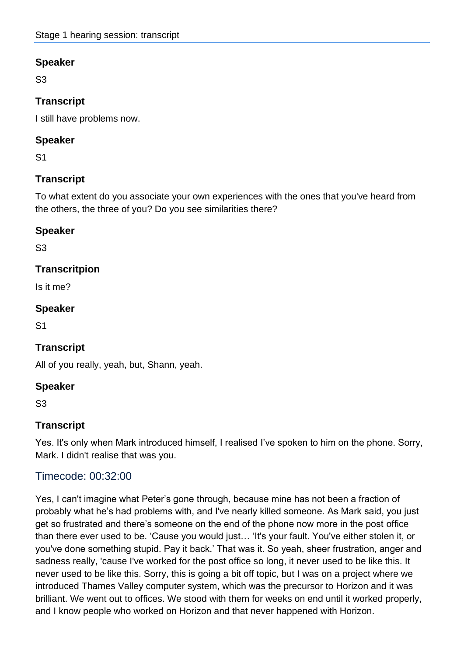S3

## **Transcript**

I still have problems now.

#### **Speaker**

S1

## **Transcript**

To what extent do you associate your own experiences with the ones that you've heard from the others, the three of you? Do you see similarities there?

#### **Speaker**

S3

## **Transcritpion**

Is it me?

#### **Speaker**

S1

## **Transcript**

All of you really, yeah, but, Shann, yeah.

## **Speaker**

S3

## **Transcript**

Yes. It's only when Mark introduced himself, I realised I've spoken to him on the phone. Sorry, Mark. I didn't realise that was you.

## Timecode: 00:32:00

Yes, I can't imagine what Peter's gone through, because mine has not been a fraction of probably what he's had problems with, and I've nearly killed someone. As Mark said, you just get so frustrated and there's someone on the end of the phone now more in the post office than there ever used to be. 'Cause you would just… 'It's your fault. You've either stolen it, or you've done something stupid. Pay it back.' That was it. So yeah, sheer frustration, anger and sadness really, 'cause I've worked for the post office so long, it never used to be like this. It never used to be like this. Sorry, this is going a bit off topic, but I was on a project where we introduced Thames Valley computer system, which was the precursor to Horizon and it was brilliant. We went out to offices. We stood with them for weeks on end until it worked properly, and I know people who worked on Horizon and that never happened with Horizon.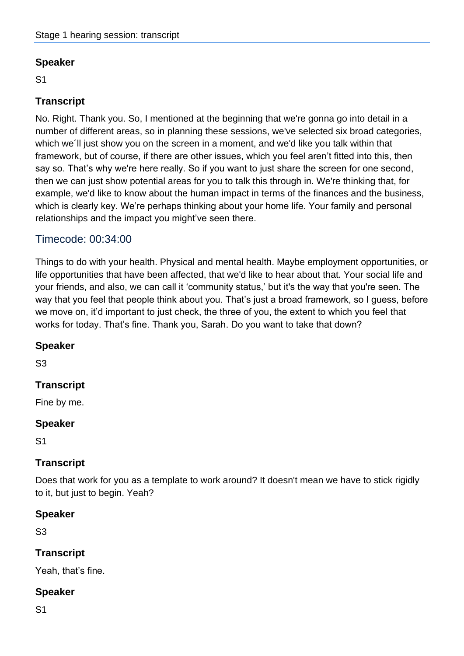S1

## **Transcript**

No. Right. Thank you. So, I mentioned at the beginning that we're gonna go into detail in a number of different areas, so in planning these sessions, we've selected six broad categories, which we´ll just show you on the screen in a moment, and we'd like you talk within that framework, but of course, if there are other issues, which you feel aren't fitted into this, then say so. That's why we're here really. So if you want to just share the screen for one second, then we can just show potential areas for you to talk this through in. We're thinking that, for example, we'd like to know about the human impact in terms of the finances and the business, which is clearly key. We're perhaps thinking about your home life. Your family and personal relationships and the impact you might've seen there.

## Timecode: 00:34:00

Things to do with your health. Physical and mental health. Maybe employment opportunities, or life opportunities that have been affected, that we'd like to hear about that. Your social life and your friends, and also, we can call it 'community status,' but it's the way that you're seen. The way that you feel that people think about you. That's just a broad framework, so I guess, before we move on, it'd important to just check, the three of you, the extent to which you feel that works for today. That's fine. Thank you, Sarah. Do you want to take that down?

#### **Speaker**

S3

## **Transcript**

Fine by me.

#### **Speaker**

S1

## **Transcript**

Does that work for you as a template to work around? It doesn't mean we have to stick rigidly to it, but just to begin. Yeah?

#### **Speaker**

S3

## **Transcript**

Yeah, that's fine.

## **Speaker**

S1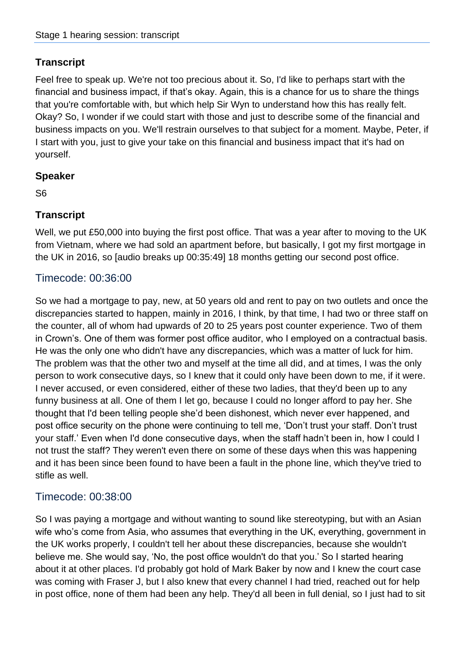Feel free to speak up. We're not too precious about it. So, I'd like to perhaps start with the financial and business impact, if that's okay. Again, this is a chance for us to share the things that you're comfortable with, but which help Sir Wyn to understand how this has really felt. Okay? So, I wonder if we could start with those and just to describe some of the financial and business impacts on you. We'll restrain ourselves to that subject for a moment. Maybe, Peter, if I start with you, just to give your take on this financial and business impact that it's had on yourself.

#### **Speaker**

S6

## **Transcript**

Well, we put £50,000 into buying the first post office. That was a year after to moving to the UK from Vietnam, where we had sold an apartment before, but basically, I got my first mortgage in the UK in 2016, so [audio breaks up 00:35:49] 18 months getting our second post office.

## Timecode: 00:36:00

So we had a mortgage to pay, new, at 50 years old and rent to pay on two outlets and once the discrepancies started to happen, mainly in 2016, I think, by that time, I had two or three staff on the counter, all of whom had upwards of 20 to 25 years post counter experience. Two of them in Crown's. One of them was former post office auditor, who I employed on a contractual basis. He was the only one who didn't have any discrepancies, which was a matter of luck for him. The problem was that the other two and myself at the time all did, and at times, I was the only person to work consecutive days, so I knew that it could only have been down to me, if it were. I never accused, or even considered, either of these two ladies, that they'd been up to any funny business at all. One of them I let go, because I could no longer afford to pay her. She thought that I'd been telling people she'd been dishonest, which never ever happened, and post office security on the phone were continuing to tell me, 'Don't trust your staff. Don't trust your staff.' Even when I'd done consecutive days, when the staff hadn't been in, how I could I not trust the staff? They weren't even there on some of these days when this was happening and it has been since been found to have been a fault in the phone line, which they've tried to stifle as well.

## Timecode: 00:38:00

So I was paying a mortgage and without wanting to sound like stereotyping, but with an Asian wife who's come from Asia, who assumes that everything in the UK, everything, government in the UK works properly, I couldn't tell her about these discrepancies, because she wouldn't believe me. She would say, 'No, the post office wouldn't do that you.' So I started hearing about it at other places. I'd probably got hold of Mark Baker by now and I knew the court case was coming with Fraser J, but I also knew that every channel I had tried, reached out for help in post office, none of them had been any help. They'd all been in full denial, so I just had to sit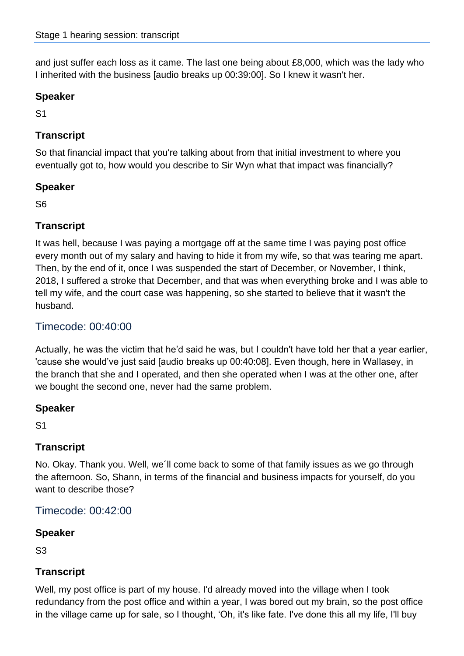and just suffer each loss as it came. The last one being about £8,000, which was the lady who I inherited with the business [audio breaks up 00:39:00]. So I knew it wasn't her.

## **Speaker**

S1

## **Transcript**

So that financial impact that you're talking about from that initial investment to where you eventually got to, how would you describe to Sir Wyn what that impact was financially?

#### **Speaker**

S6

## **Transcript**

It was hell, because I was paying a mortgage off at the same time I was paying post office every month out of my salary and having to hide it from my wife, so that was tearing me apart. Then, by the end of it, once I was suspended the start of December, or November, I think, 2018, I suffered a stroke that December, and that was when everything broke and I was able to tell my wife, and the court case was happening, so she started to believe that it wasn't the husband.

## Timecode: 00:40:00

Actually, he was the victim that he'd said he was, but I couldn't have told her that a year earlier, 'cause she would've just said [audio breaks up 00:40:08]. Even though, here in Wallasey, in the branch that she and I operated, and then she operated when I was at the other one, after we bought the second one, never had the same problem.

#### **Speaker**

S1

## **Transcript**

No. Okay. Thank you. Well, we´ll come back to some of that family issues as we go through the afternoon. So, Shann, in terms of the financial and business impacts for yourself, do you want to describe those?

Timecode: 00:42:00

## **Speaker**

S3

## **Transcript**

Well, my post office is part of my house. I'd already moved into the village when I took redundancy from the post office and within a year, I was bored out my brain, so the post office in the village came up for sale, so I thought, 'Oh, it's like fate. I've done this all my life, I'll buy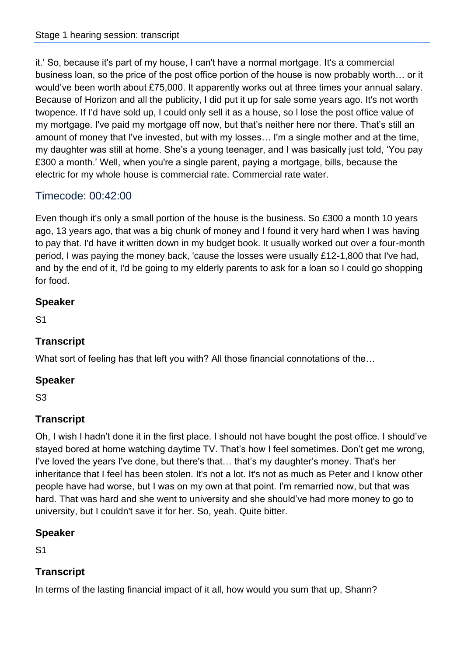it.' So, because it's part of my house, I can't have a normal mortgage. It's a commercial business loan, so the price of the post office portion of the house is now probably worth… or it would've been worth about £75,000. It apparently works out at three times your annual salary. Because of Horizon and all the publicity, I did put it up for sale some years ago. It's not worth twopence. If I'd have sold up, I could only sell it as a house, so l lose the post office value of my mortgage. I've paid my mortgage off now, but that's neither here nor there. That's still an amount of money that I've invested, but with my losses… I'm a single mother and at the time, my daughter was still at home. She's a young teenager, and I was basically just told, 'You pay £300 a month.' Well, when you're a single parent, paying a mortgage, bills, because the electric for my whole house is commercial rate. Commercial rate water.

## Timecode: 00:42:00

Even though it's only a small portion of the house is the business. So £300 a month 10 years ago, 13 years ago, that was a big chunk of money and I found it very hard when I was having to pay that. I'd have it written down in my budget book. It usually worked out over a four-month period, I was paying the money back, 'cause the losses were usually £12-1,800 that I've had, and by the end of it, I'd be going to my elderly parents to ask for a loan so I could go shopping for food.

#### **Speaker**

S1

## **Transcript**

What sort of feeling has that left you with? All those financial connotations of the…

## **Speaker**

S3

## **Transcript**

Oh, I wish I hadn't done it in the first place. I should not have bought the post office. I should've stayed bored at home watching daytime TV. That's how I feel sometimes. Don't get me wrong, I've loved the years I've done, but there's that… that's my daughter's money. That's her inheritance that I feel has been stolen. It's not a lot. It's not as much as Peter and I know other people have had worse, but I was on my own at that point. I'm remarried now, but that was hard. That was hard and she went to university and she should've had more money to go to university, but I couldn't save it for her. So, yeah. Quite bitter.

## **Speaker**

S1

## **Transcript**

In terms of the lasting financial impact of it all, how would you sum that up, Shann?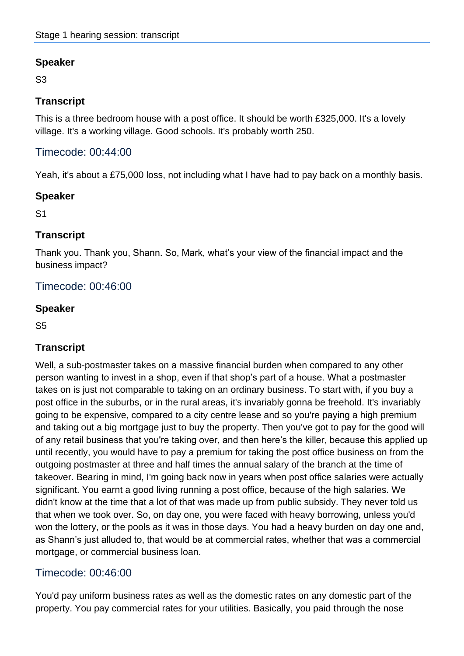S3

## **Transcript**

This is a three bedroom house with a post office. It should be worth £325,000. It's a lovely village. It's a working village. Good schools. It's probably worth 250.

## Timecode: 00:44:00

Yeah, it's about a £75,000 loss, not including what I have had to pay back on a monthly basis.

#### **Speaker**

S1

## **Transcript**

Thank you. Thank you, Shann. So, Mark, what's your view of the financial impact and the business impact?

Timecode: 00:46:00

#### **Speaker**

S5

## **Transcript**

Well, a sub-postmaster takes on a massive financial burden when compared to any other person wanting to invest in a shop, even if that shop's part of a house. What a postmaster takes on is just not comparable to taking on an ordinary business. To start with, if you buy a post office in the suburbs, or in the rural areas, it's invariably gonna be freehold. It's invariably going to be expensive, compared to a city centre lease and so you're paying a high premium and taking out a big mortgage just to buy the property. Then you've got to pay for the good will of any retail business that you're taking over, and then here's the killer, because this applied up until recently, you would have to pay a premium for taking the post office business on from the outgoing postmaster at three and half times the annual salary of the branch at the time of takeover. Bearing in mind, I'm going back now in years when post office salaries were actually significant. You earnt a good living running a post office, because of the high salaries. We didn't know at the time that a lot of that was made up from public subsidy. They never told us that when we took over. So, on day one, you were faced with heavy borrowing, unless you'd won the lottery, or the pools as it was in those days. You had a heavy burden on day one and, as Shann's just alluded to, that would be at commercial rates, whether that was a commercial mortgage, or commercial business loan.

## Timecode: 00:46:00

You'd pay uniform business rates as well as the domestic rates on any domestic part of the property. You pay commercial rates for your utilities. Basically, you paid through the nose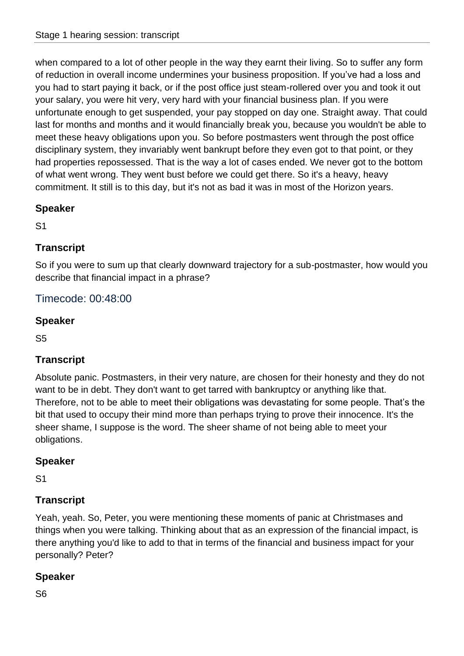when compared to a lot of other people in the way they earnt their living. So to suffer any form of reduction in overall income undermines your business proposition. If you've had a loss and you had to start paying it back, or if the post office just steam-rollered over you and took it out your salary, you were hit very, very hard with your financial business plan. If you were unfortunate enough to get suspended, your pay stopped on day one. Straight away. That could last for months and months and it would financially break you, because you wouldn't be able to meet these heavy obligations upon you. So before postmasters went through the post office disciplinary system, they invariably went bankrupt before they even got to that point, or they had properties repossessed. That is the way a lot of cases ended. We never got to the bottom of what went wrong. They went bust before we could get there. So it's a heavy, heavy commitment. It still is to this day, but it's not as bad it was in most of the Horizon years.

## **Speaker**

S1

## **Transcript**

So if you were to sum up that clearly downward trajectory for a sub-postmaster, how would you describe that financial impact in a phrase?

## Timecode: 00:48:00

## **Speaker**

S5

## **Transcript**

Absolute panic. Postmasters, in their very nature, are chosen for their honesty and they do not want to be in debt. They don't want to get tarred with bankruptcy or anything like that. Therefore, not to be able to meet their obligations was devastating for some people. That's the bit that used to occupy their mind more than perhaps trying to prove their innocence. It's the sheer shame, I suppose is the word. The sheer shame of not being able to meet your obligations.

## **Speaker**

S1

## **Transcript**

Yeah, yeah. So, Peter, you were mentioning these moments of panic at Christmases and things when you were talking. Thinking about that as an expression of the financial impact, is there anything you'd like to add to that in terms of the financial and business impact for your personally? Peter?

## **Speaker**

S6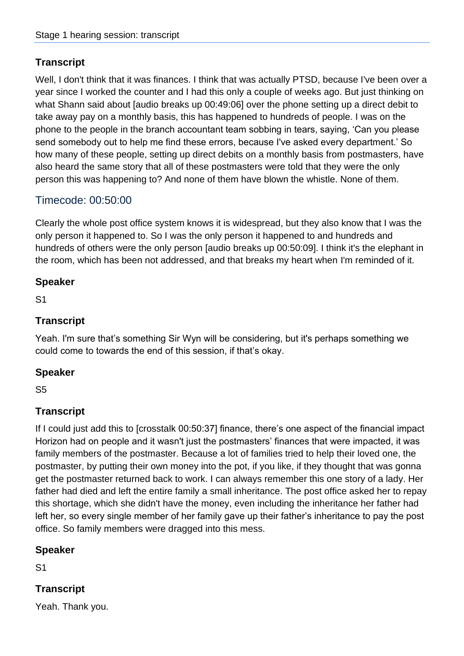Well, I don't think that it was finances. I think that was actually PTSD, because I've been over a year since I worked the counter and I had this only a couple of weeks ago. But just thinking on what Shann said about [audio breaks up 00:49:06] over the phone setting up a direct debit to take away pay on a monthly basis, this has happened to hundreds of people. I was on the phone to the people in the branch accountant team sobbing in tears, saying, 'Can you please send somebody out to help me find these errors, because I've asked every department.' So how many of these people, setting up direct debits on a monthly basis from postmasters, have also heard the same story that all of these postmasters were told that they were the only person this was happening to? And none of them have blown the whistle. None of them.

## Timecode: 00:50:00

Clearly the whole post office system knows it is widespread, but they also know that I was the only person it happened to. So I was the only person it happened to and hundreds and hundreds of others were the only person [audio breaks up 00:50:09]. I think it's the elephant in the room, which has been not addressed, and that breaks my heart when I'm reminded of it.

#### **Speaker**

S1

#### **Transcript**

Yeah. I'm sure that's something Sir Wyn will be considering, but it's perhaps something we could come to towards the end of this session, if that's okay.

## **Speaker**

S5

## **Transcript**

If I could just add this to [crosstalk 00:50:37] finance, there's one aspect of the financial impact Horizon had on people and it wasn't just the postmasters' finances that were impacted, it was family members of the postmaster. Because a lot of families tried to help their loved one, the postmaster, by putting their own money into the pot, if you like, if they thought that was gonna get the postmaster returned back to work. I can always remember this one story of a lady. Her father had died and left the entire family a small inheritance. The post office asked her to repay this shortage, which she didn't have the money, even including the inheritance her father had left her, so every single member of her family gave up their father's inheritance to pay the post office. So family members were dragged into this mess.

#### **Speaker**

S1

## **Transcript**

Yeah. Thank you.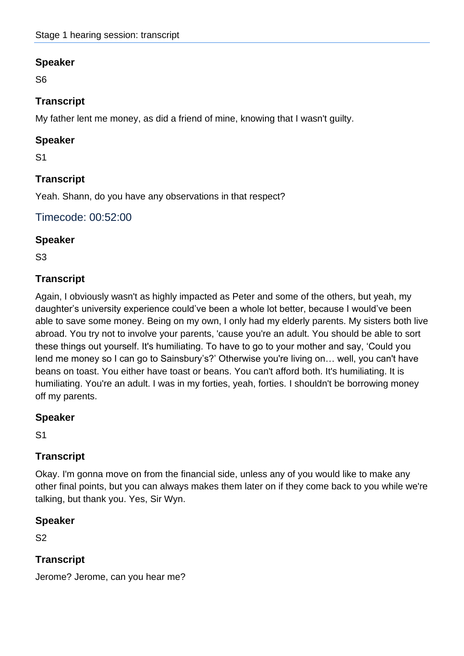S6

## **Transcript**

My father lent me money, as did a friend of mine, knowing that I wasn't guilty.

#### **Speaker**

S1

## **Transcript**

Yeah. Shann, do you have any observations in that respect?

## Timecode: 00:52:00

#### **Speaker**

S3

## **Transcript**

Again, I obviously wasn't as highly impacted as Peter and some of the others, but yeah, my daughter's university experience could've been a whole lot better, because I would've been able to save some money. Being on my own, I only had my elderly parents. My sisters both live abroad. You try not to involve your parents, 'cause you're an adult. You should be able to sort these things out yourself. It's humiliating. To have to go to your mother and say, 'Could you lend me money so I can go to Sainsbury's?' Otherwise you're living on… well, you can't have beans on toast. You either have toast or beans. You can't afford both. It's humiliating. It is humiliating. You're an adult. I was in my forties, yeah, forties. I shouldn't be borrowing money off my parents.

#### **Speaker**

S1

## **Transcript**

Okay. I'm gonna move on from the financial side, unless any of you would like to make any other final points, but you can always makes them later on if they come back to you while we're talking, but thank you. Yes, Sir Wyn.

## **Speaker**

S2

## **Transcript**

Jerome? Jerome, can you hear me?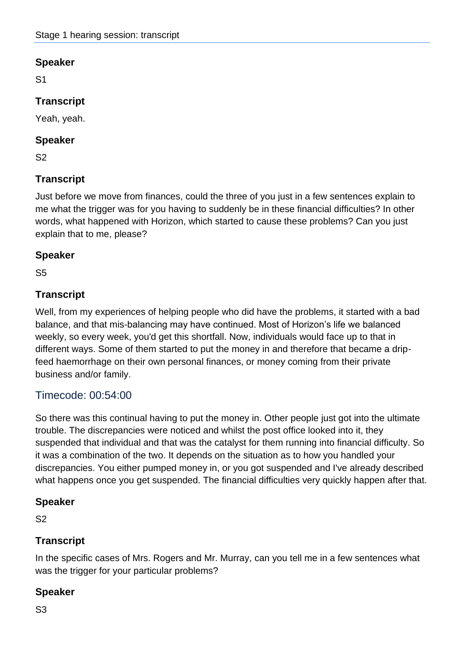S1

## **Transcript**

Yeah, yeah.

#### **Speaker**

S2

## **Transcript**

Just before we move from finances, could the three of you just in a few sentences explain to me what the trigger was for you having to suddenly be in these financial difficulties? In other words, what happened with Horizon, which started to cause these problems? Can you just explain that to me, please?

#### **Speaker**

S5

## **Transcript**

Well, from my experiences of helping people who did have the problems, it started with a bad balance, and that mis-balancing may have continued. Most of Horizon's life we balanced weekly, so every week, you'd get this shortfall. Now, individuals would face up to that in different ways. Some of them started to put the money in and therefore that became a dripfeed haemorrhage on their own personal finances, or money coming from their private business and/or family.

## Timecode: 00:54:00

So there was this continual having to put the money in. Other people just got into the ultimate trouble. The discrepancies were noticed and whilst the post office looked into it, they suspended that individual and that was the catalyst for them running into financial difficulty. So it was a combination of the two. It depends on the situation as to how you handled your discrepancies. You either pumped money in, or you got suspended and I've already described what happens once you get suspended. The financial difficulties very quickly happen after that.

#### **Speaker**

S2

## **Transcript**

In the specific cases of Mrs. Rogers and Mr. Murray, can you tell me in a few sentences what was the trigger for your particular problems?

## **Speaker**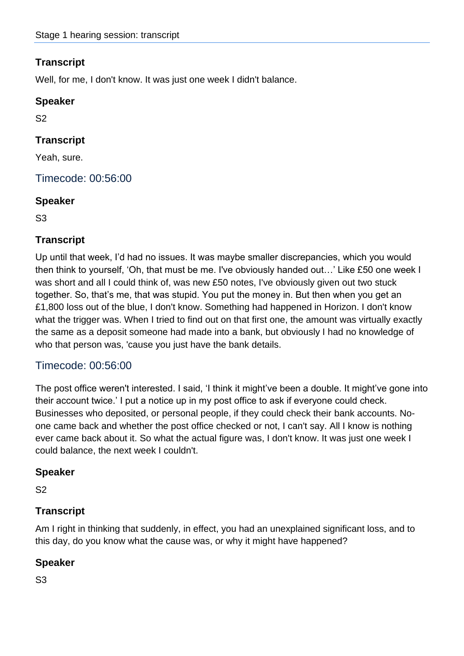Well, for me, I don't know. It was just one week I didn't balance.

#### **Speaker**

S2

## **Transcript**

Yeah, sure.

Timecode: 00:56:00

#### **Speaker**

S3

#### **Transcript**

Up until that week, I'd had no issues. It was maybe smaller discrepancies, which you would then think to yourself, 'Oh, that must be me. I've obviously handed out…' Like £50 one week I was short and all I could think of, was new £50 notes, I've obviously given out two stuck together. So, that's me, that was stupid. You put the money in. But then when you get an £1,800 loss out of the blue, I don't know. Something had happened in Horizon. I don't know what the trigger was. When I tried to find out on that first one, the amount was virtually exactly the same as a deposit someone had made into a bank, but obviously I had no knowledge of who that person was, 'cause you just have the bank details.

## Timecode: 00:56:00

The post office weren't interested. I said, 'I think it might've been a double. It might've gone into their account twice.' I put a notice up in my post office to ask if everyone could check. Businesses who deposited, or personal people, if they could check their bank accounts. Noone came back and whether the post office checked or not, I can't say. All I know is nothing ever came back about it. So what the actual figure was, I don't know. It was just one week I could balance, the next week I couldn't.

#### **Speaker**

S2

## **Transcript**

Am I right in thinking that suddenly, in effect, you had an unexplained significant loss, and to this day, do you know what the cause was, or why it might have happened?

## **Speaker**

S3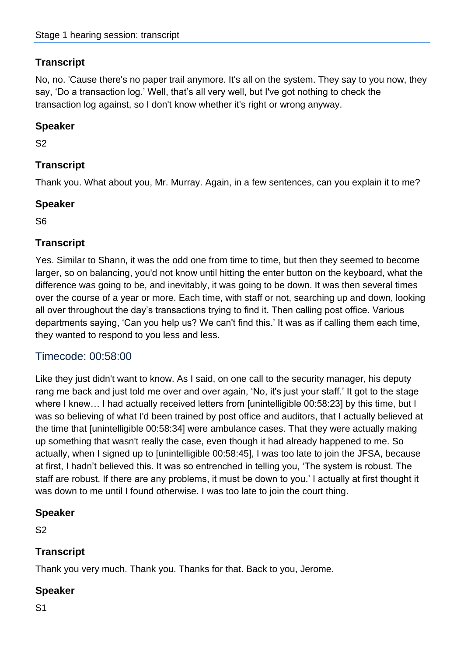No, no. 'Cause there's no paper trail anymore. It's all on the system. They say to you now, they say, 'Do a transaction log.' Well, that's all very well, but I've got nothing to check the transaction log against, so I don't know whether it's right or wrong anyway.

## **Speaker**

S2

## **Transcript**

Thank you. What about you, Mr. Murray. Again, in a few sentences, can you explain it to me?

#### **Speaker**

S6

## **Transcript**

Yes. Similar to Shann, it was the odd one from time to time, but then they seemed to become larger, so on balancing, you'd not know until hitting the enter button on the keyboard, what the difference was going to be, and inevitably, it was going to be down. It was then several times over the course of a year or more. Each time, with staff or not, searching up and down, looking all over throughout the day's transactions trying to find it. Then calling post office. Various departments saying, 'Can you help us? We can't find this.' It was as if calling them each time, they wanted to respond to you less and less.

## Timecode: 00:58:00

Like they just didn't want to know. As I said, on one call to the security manager, his deputy rang me back and just told me over and over again, 'No, it's just your staff.' It got to the stage where I knew… I had actually received letters from [unintelligible 00:58:23] by this time, but I was so believing of what I'd been trained by post office and auditors, that I actually believed at the time that [unintelligible 00:58:34] were ambulance cases. That they were actually making up something that wasn't really the case, even though it had already happened to me. So actually, when I signed up to [unintelligible 00:58:45], I was too late to join the JFSA, because at first, I hadn't believed this. It was so entrenched in telling you, 'The system is robust. The staff are robust. If there are any problems, it must be down to you.' I actually at first thought it was down to me until I found otherwise. I was too late to join the court thing.

#### **Speaker**

S2

## **Transcript**

Thank you very much. Thank you. Thanks for that. Back to you, Jerome.

## **Speaker**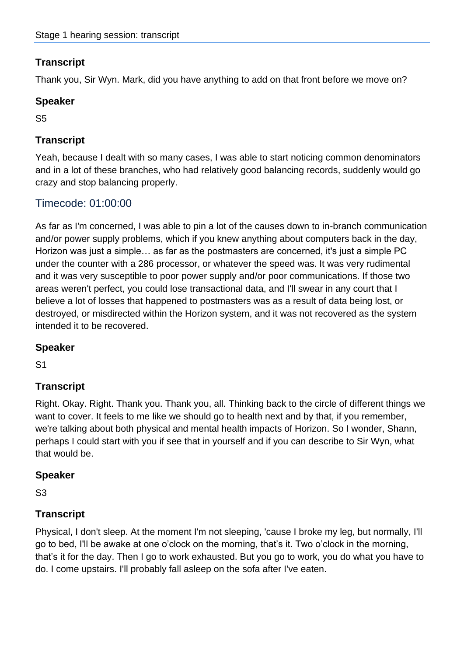Thank you, Sir Wyn. Mark, did you have anything to add on that front before we move on?

#### **Speaker**

S5

## **Transcript**

Yeah, because I dealt with so many cases, I was able to start noticing common denominators and in a lot of these branches, who had relatively good balancing records, suddenly would go crazy and stop balancing properly.

## Timecode: 01:00:00

As far as I'm concerned, I was able to pin a lot of the causes down to in-branch communication and/or power supply problems, which if you knew anything about computers back in the day, Horizon was just a simple… as far as the postmasters are concerned, it's just a simple PC under the counter with a 286 processor, or whatever the speed was. It was very rudimental and it was very susceptible to poor power supply and/or poor communications. If those two areas weren't perfect, you could lose transactional data, and I'll swear in any court that I believe a lot of losses that happened to postmasters was as a result of data being lost, or destroyed, or misdirected within the Horizon system, and it was not recovered as the system intended it to be recovered.

#### **Speaker**

S1

## **Transcript**

Right. Okay. Right. Thank you. Thank you, all. Thinking back to the circle of different things we want to cover. It feels to me like we should go to health next and by that, if you remember, we're talking about both physical and mental health impacts of Horizon. So I wonder, Shann, perhaps I could start with you if see that in yourself and if you can describe to Sir Wyn, what that would be.

#### **Speaker**

S3

## **Transcript**

Physical, I don't sleep. At the moment I'm not sleeping, 'cause I broke my leg, but normally, I'll go to bed, I'll be awake at one o'clock on the morning, that's it. Two o'clock in the morning, that's it for the day. Then I go to work exhausted. But you go to work, you do what you have to do. I come upstairs. I'll probably fall asleep on the sofa after I've eaten.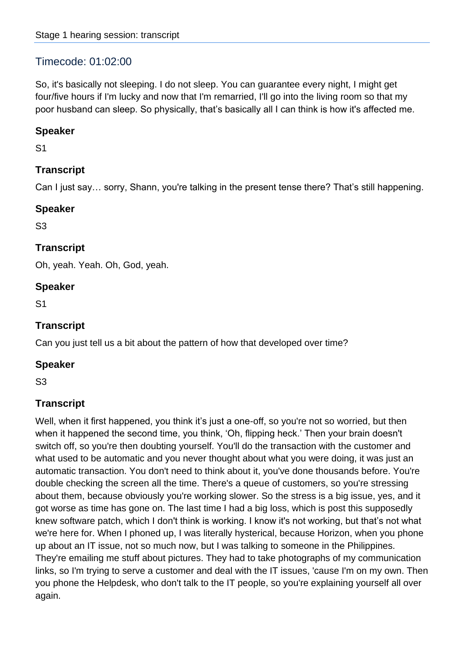## Timecode: 01:02:00

So, it's basically not sleeping. I do not sleep. You can guarantee every night, I might get four/five hours if I'm lucky and now that I'm remarried, I'll go into the living room so that my poor husband can sleep. So physically, that's basically all I can think is how it's affected me.

#### **Speaker**

S1

## **Transcript**

Can I just say… sorry, Shann, you're talking in the present tense there? That's still happening.

#### **Speaker**

S3

## **Transcript**

Oh, yeah. Yeah. Oh, God, yeah.

#### **Speaker**

S1

## **Transcript**

Can you just tell us a bit about the pattern of how that developed over time?

#### **Speaker**

S3

## **Transcript**

Well, when it first happened, you think it's just a one-off, so you're not so worried, but then when it happened the second time, you think, 'Oh, flipping heck.' Then your brain doesn't switch off, so you're then doubting yourself. You'll do the transaction with the customer and what used to be automatic and you never thought about what you were doing, it was just an automatic transaction. You don't need to think about it, you've done thousands before. You're double checking the screen all the time. There's a queue of customers, so you're stressing about them, because obviously you're working slower. So the stress is a big issue, yes, and it got worse as time has gone on. The last time I had a big loss, which is post this supposedly knew software patch, which I don't think is working. I know it's not working, but that's not what we're here for. When I phoned up, I was literally hysterical, because Horizon, when you phone up about an IT issue, not so much now, but I was talking to someone in the Philippines. They're emailing me stuff about pictures. They had to take photographs of my communication links, so I'm trying to serve a customer and deal with the IT issues, 'cause I'm on my own. Then you phone the Helpdesk, who don't talk to the IT people, so you're explaining yourself all over again.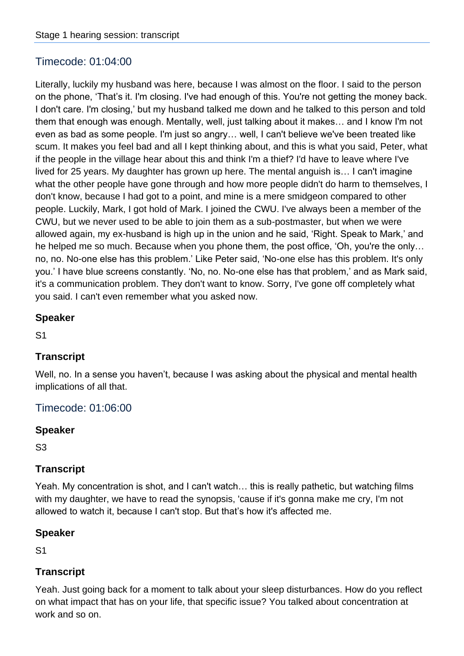## Timecode: 01:04:00

Literally, luckily my husband was here, because I was almost on the floor. I said to the person on the phone, 'That's it. I'm closing. I've had enough of this. You're not getting the money back. I don't care. I'm closing,' but my husband talked me down and he talked to this person and told them that enough was enough. Mentally, well, just talking about it makes… and I know I'm not even as bad as some people. I'm just so angry… well, I can't believe we've been treated like scum. It makes you feel bad and all I kept thinking about, and this is what you said, Peter, what if the people in the village hear about this and think I'm a thief? I'd have to leave where I've lived for 25 years. My daughter has grown up here. The mental anguish is… I can't imagine what the other people have gone through and how more people didn't do harm to themselves, I don't know, because I had got to a point, and mine is a mere smidgeon compared to other people. Luckily, Mark, I got hold of Mark. I joined the CWU. I've always been a member of the CWU, but we never used to be able to join them as a sub-postmaster, but when we were allowed again, my ex-husband is high up in the union and he said, 'Right. Speak to Mark,' and he helped me so much. Because when you phone them, the post office, 'Oh, you're the only… no, no. No-one else has this problem.' Like Peter said, 'No-one else has this problem. It's only you.' I have blue screens constantly. 'No, no. No-one else has that problem,' and as Mark said, it's a communication problem. They don't want to know. Sorry, I've gone off completely what you said. I can't even remember what you asked now.

#### **Speaker**

S1

#### **Transcript**

Well, no. In a sense you haven't, because I was asking about the physical and mental health implications of all that.

#### Timecode: 01:06:00

#### **Speaker**

S3

#### **Transcript**

Yeah. My concentration is shot, and I can't watch… this is really pathetic, but watching films with my daughter, we have to read the synopsis, 'cause if it's gonna make me cry, I'm not allowed to watch it, because I can't stop. But that's how it's affected me.

#### **Speaker**

S1

## **Transcript**

Yeah. Just going back for a moment to talk about your sleep disturbances. How do you reflect on what impact that has on your life, that specific issue? You talked about concentration at work and so on.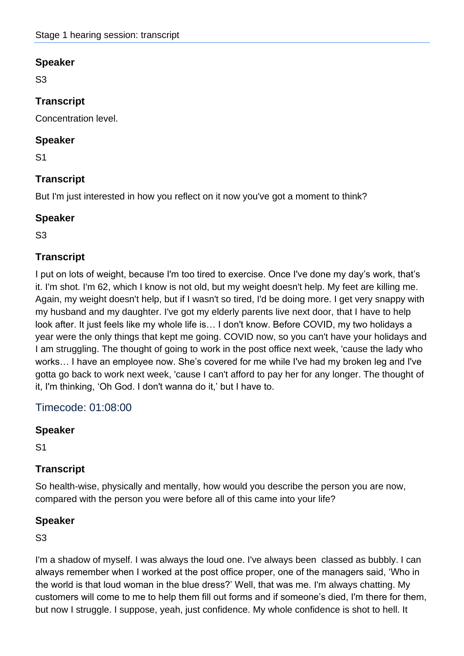S3

## **Transcript**

Concentration level.

#### **Speaker**

S1

## **Transcript**

But I'm just interested in how you reflect on it now you've got a moment to think?

#### **Speaker**

S3

#### **Transcript**

I put on lots of weight, because I'm too tired to exercise. Once I've done my day's work, that's it. I'm shot. I'm 62, which I know is not old, but my weight doesn't help. My feet are killing me. Again, my weight doesn't help, but if I wasn't so tired, I'd be doing more. I get very snappy with my husband and my daughter. I've got my elderly parents live next door, that I have to help look after. It just feels like my whole life is… I don't know. Before COVID, my two holidays a year were the only things that kept me going. COVID now, so you can't have your holidays and I am struggling. The thought of going to work in the post office next week, 'cause the lady who works… I have an employee now. She's covered for me while I've had my broken leg and I've gotta go back to work next week, 'cause I can't afford to pay her for any longer. The thought of it, I'm thinking, 'Oh God. I don't wanna do it,' but I have to.

## Timecode: 01:08:00

#### **Speaker**

S1

## **Transcript**

So health-wise, physically and mentally, how would you describe the person you are now, compared with the person you were before all of this came into your life?

#### **Speaker**

S3

I'm a shadow of myself. I was always the loud one. I've always been classed as bubbly. I can always remember when I worked at the post office proper, one of the managers said, 'Who in the world is that loud woman in the blue dress?' Well, that was me. I'm always chatting. My customers will come to me to help them fill out forms and if someone's died, I'm there for them, but now I struggle. I suppose, yeah, just confidence. My whole confidence is shot to hell. It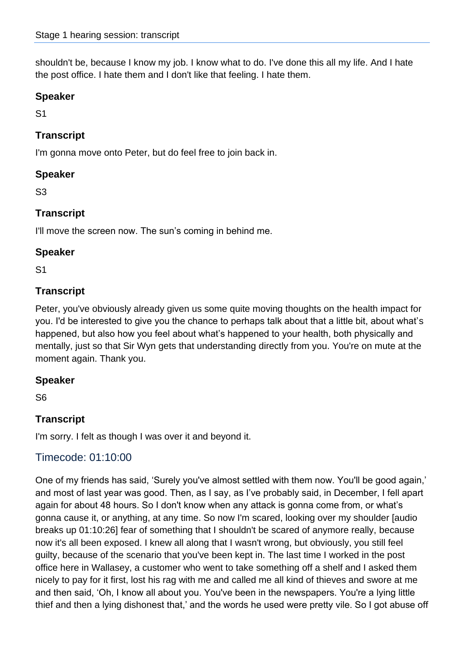shouldn't be, because I know my job. I know what to do. I've done this all my life. And I hate the post office. I hate them and I don't like that feeling. I hate them.

#### **Speaker**

S1

## **Transcript**

I'm gonna move onto Peter, but do feel free to join back in.

#### **Speaker**

S3

## **Transcript**

I'll move the screen now. The sun's coming in behind me.

#### **Speaker**

S1

## **Transcript**

Peter, you've obviously already given us some quite moving thoughts on the health impact for you. I'd be interested to give you the chance to perhaps talk about that a little bit, about what's happened, but also how you feel about what's happened to your health, both physically and mentally, just so that Sir Wyn gets that understanding directly from you. You're on mute at the moment again. Thank you.

## **Speaker**

S6

## **Transcript**

I'm sorry. I felt as though I was over it and beyond it.

## Timecode: 01:10:00

One of my friends has said, 'Surely you've almost settled with them now. You'll be good again,' and most of last year was good. Then, as I say, as I've probably said, in December, I fell apart again for about 48 hours. So I don't know when any attack is gonna come from, or what's gonna cause it, or anything, at any time. So now I'm scared, looking over my shoulder [audio breaks up 01:10:26] fear of something that I shouldn't be scared of anymore really, because now it's all been exposed. I knew all along that I wasn't wrong, but obviously, you still feel guilty, because of the scenario that you've been kept in. The last time I worked in the post office here in Wallasey, a customer who went to take something off a shelf and I asked them nicely to pay for it first, lost his rag with me and called me all kind of thieves and swore at me and then said, 'Oh, I know all about you. You've been in the newspapers. You're a lying little thief and then a lying dishonest that,' and the words he used were pretty vile. So I got abuse off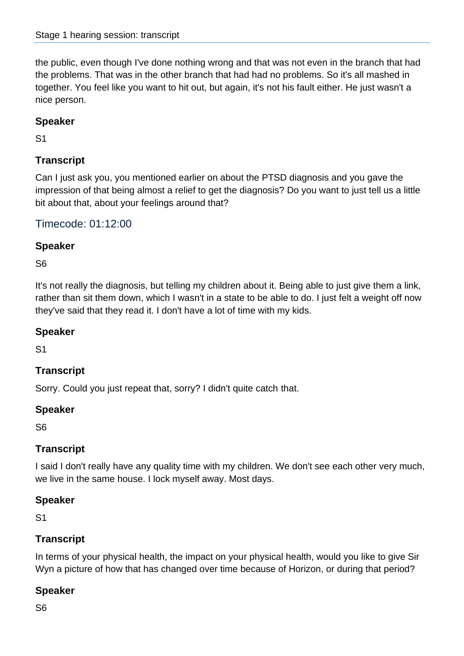the public, even though I've done nothing wrong and that was not even in the branch that had the problems. That was in the other branch that had had no problems. So it's all mashed in together. You feel like you want to hit out, but again, it's not his fault either. He just wasn't a nice person.

## **Speaker**

S1

## **Transcript**

Can I just ask you, you mentioned earlier on about the PTSD diagnosis and you gave the impression of that being almost a relief to get the diagnosis? Do you want to just tell us a little bit about that, about your feelings around that?

## Timecode: 01:12:00

## **Speaker**

S6

It's not really the diagnosis, but telling my children about it. Being able to just give them a link, rather than sit them down, which I wasn't in a state to be able to do. I just felt a weight off now they've said that they read it. I don't have a lot of time with my kids.

## **Speaker**

S1

## **Transcript**

Sorry. Could you just repeat that, sorry? I didn't quite catch that.

#### **Speaker**

S6

## **Transcript**

I said I don't really have any quality time with my children. We don't see each other very much, we live in the same house. I lock myself away. Most days.

#### **Speaker**

S1

## **Transcript**

In terms of your physical health, the impact on your physical health, would you like to give Sir Wyn a picture of how that has changed over time because of Horizon, or during that period?

## **Speaker**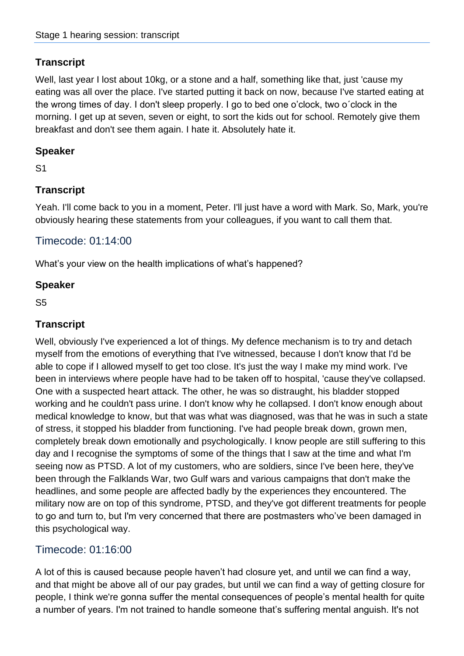Well, last year I lost about 10kg, or a stone and a half, something like that, just 'cause my eating was all over the place. I've started putting it back on now, because I've started eating at the wrong times of day. I don't sleep properly. I go to bed one o'clock, two o´clock in the morning. I get up at seven, seven or eight, to sort the kids out for school. Remotely give them breakfast and don't see them again. I hate it. Absolutely hate it.

## **Speaker**

S1

## **Transcript**

Yeah. I'll come back to you in a moment, Peter. I'll just have a word with Mark. So, Mark, you're obviously hearing these statements from your colleagues, if you want to call them that.

## Timecode: 01:14:00

What's your view on the health implications of what's happened?

#### **Speaker**

S5

#### **Transcript**

Well, obviously I've experienced a lot of things. My defence mechanism is to try and detach myself from the emotions of everything that I've witnessed, because I don't know that I'd be able to cope if I allowed myself to get too close. It's just the way I make my mind work. I've been in interviews where people have had to be taken off to hospital, 'cause they've collapsed. One with a suspected heart attack. The other, he was so distraught, his bladder stopped working and he couldn't pass urine. I don't know why he collapsed. I don't know enough about medical knowledge to know, but that was what was diagnosed, was that he was in such a state of stress, it stopped his bladder from functioning. I've had people break down, grown men, completely break down emotionally and psychologically. I know people are still suffering to this day and I recognise the symptoms of some of the things that I saw at the time and what I'm seeing now as PTSD. A lot of my customers, who are soldiers, since I've been here, they've been through the Falklands War, two Gulf wars and various campaigns that don't make the headlines, and some people are affected badly by the experiences they encountered. The military now are on top of this syndrome, PTSD, and they've got different treatments for people to go and turn to, but I'm very concerned that there are postmasters who've been damaged in this psychological way.

## Timecode: 01:16:00

A lot of this is caused because people haven't had closure yet, and until we can find a way, and that might be above all of our pay grades, but until we can find a way of getting closure for people, I think we're gonna suffer the mental consequences of people's mental health for quite a number of years. I'm not trained to handle someone that's suffering mental anguish. It's not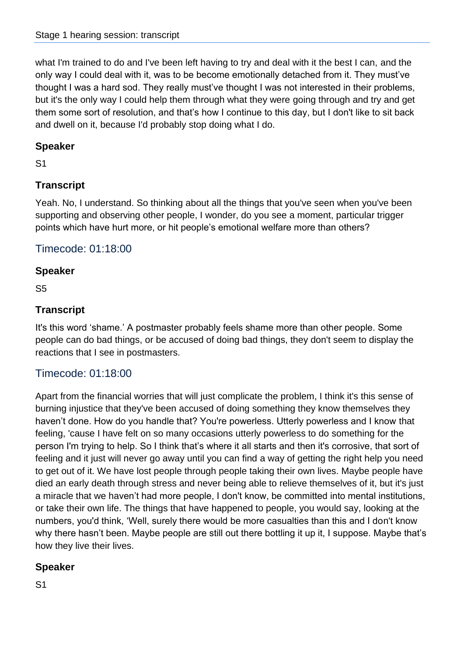what I'm trained to do and I've been left having to try and deal with it the best I can, and the only way I could deal with it, was to be become emotionally detached from it. They must've thought I was a hard sod. They really must've thought I was not interested in their problems, but it's the only way I could help them through what they were going through and try and get them some sort of resolution, and that's how I continue to this day, but I don't like to sit back and dwell on it, because I'd probably stop doing what I do.

#### **Speaker**

S1

## **Transcript**

Yeah. No, I understand. So thinking about all the things that you've seen when you've been supporting and observing other people, I wonder, do you see a moment, particular trigger points which have hurt more, or hit people's emotional welfare more than others?

#### Timecode: 01:18:00

#### **Speaker**

S5

## **Transcript**

It's this word 'shame.' A postmaster probably feels shame more than other people. Some people can do bad things, or be accused of doing bad things, they don't seem to display the reactions that I see in postmasters.

## Timecode: 01:18:00

Apart from the financial worries that will just complicate the problem, I think it's this sense of burning injustice that they've been accused of doing something they know themselves they haven't done. How do you handle that? You're powerless. Utterly powerless and I know that feeling, 'cause I have felt on so many occasions utterly powerless to do something for the person I'm trying to help. So I think that's where it all starts and then it's corrosive, that sort of feeling and it just will never go away until you can find a way of getting the right help you need to get out of it. We have lost people through people taking their own lives. Maybe people have died an early death through stress and never being able to relieve themselves of it, but it's just a miracle that we haven't had more people, I don't know, be committed into mental institutions, or take their own life. The things that have happened to people, you would say, looking at the numbers, you'd think, 'Well, surely there would be more casualties than this and I don't know why there hasn't been. Maybe people are still out there bottling it up it, I suppose. Maybe that's how they live their lives.

## **Speaker**

S1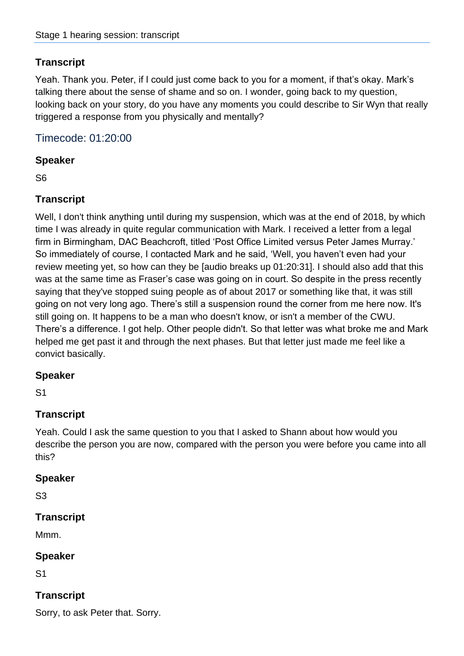Yeah. Thank you. Peter, if I could just come back to you for a moment, if that's okay. Mark's talking there about the sense of shame and so on. I wonder, going back to my question, looking back on your story, do you have any moments you could describe to Sir Wyn that really triggered a response from you physically and mentally?

Timecode: 01:20:00

#### **Speaker**

S6

#### **Transcript**

Well, I don't think anything until during my suspension, which was at the end of 2018, by which time I was already in quite regular communication with Mark. I received a letter from a legal firm in Birmingham, DAC Beachcroft, titled 'Post Office Limited versus Peter James Murray.' So immediately of course, I contacted Mark and he said, 'Well, you haven't even had your review meeting yet, so how can they be [audio breaks up 01:20:31]. I should also add that this was at the same time as Fraser's case was going on in court. So despite in the press recently saying that they've stopped suing people as of about 2017 or something like that, it was still going on not very long ago. There's still a suspension round the corner from me here now. It's still going on. It happens to be a man who doesn't know, or isn't a member of the CWU. There's a difference. I got help. Other people didn't. So that letter was what broke me and Mark helped me get past it and through the next phases. But that letter just made me feel like a convict basically.

#### **Speaker**

S1

## **Transcript**

Yeah. Could I ask the same question to you that I asked to Shann about how would you describe the person you are now, compared with the person you were before you came into all this?

#### **Speaker**

S3

#### **Transcript**

Mmm.

#### **Speaker**

S1

## **Transcript**

Sorry, to ask Peter that. Sorry.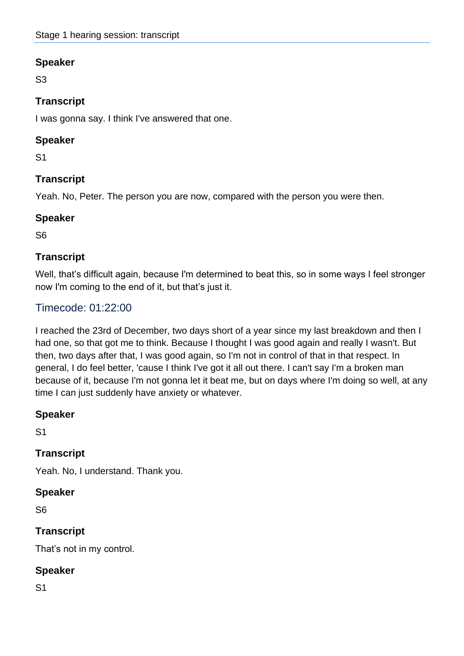S3

## **Transcript**

I was gonna say. I think I've answered that one.

#### **Speaker**

S1

## **Transcript**

Yeah. No, Peter. The person you are now, compared with the person you were then.

#### **Speaker**

S6

#### **Transcript**

Well, that's difficult again, because I'm determined to beat this, so in some ways I feel stronger now I'm coming to the end of it, but that's just it.

## Timecode: 01:22:00

I reached the 23rd of December, two days short of a year since my last breakdown and then I had one, so that got me to think. Because I thought I was good again and really I wasn't. But then, two days after that, I was good again, so I'm not in control of that in that respect. In general, I do feel better, 'cause I think I've got it all out there. I can't say I'm a broken man because of it, because I'm not gonna let it beat me, but on days where I'm doing so well, at any time I can just suddenly have anxiety or whatever.

#### **Speaker**

S1

## **Transcript**

Yeah. No, I understand. Thank you.

#### **Speaker**

S6

## **Transcript**

That's not in my control.

## **Speaker**

S1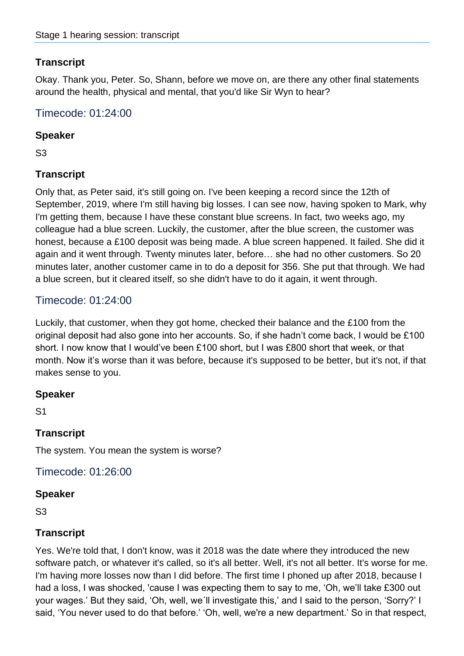Okay. Thank you, Peter. So, Shann, before we move on, are there any other final statements around the health, physical and mental, that you'd like Sir Wyn to hear?

Timecode: 01:24:00

#### **Speaker**

S3

## **Transcript**

Only that, as Peter said, it's still going on. I've been keeping a record since the 12th of September, 2019, where I'm still having big losses. I can see now, having spoken to Mark, why I'm getting them, because I have these constant blue screens. In fact, two weeks ago, my colleague had a blue screen. Luckily, the customer, after the blue screen, the customer was honest, because a £100 deposit was being made. A blue screen happened. It failed. She did it again and it went through. Twenty minutes later, before… she had no other customers. So 20 minutes later, another customer came in to do a deposit for 356. She put that through. We had a blue screen, but it cleared itself, so she didn't have to do it again, it went through.

## Timecode: 01:24:00

Luckily, that customer, when they got home, checked their balance and the £100 from the original deposit had also gone into her accounts. So, if she hadn't come back, I would be £100 short. I now know that I would've been £100 short, but I was £800 short that week, or that month. Now it's worse than it was before, because it's supposed to be better, but it's not, if that makes sense to you.

#### **Speaker**

S1

## **Transcript**

The system. You mean the system is worse?

Timecode: 01:26:00

#### **Speaker**

S3

#### **Transcript**

Yes. We're told that, I don't know, was it 2018 was the date where they introduced the new software patch, or whatever it's called, so it's all better. Well, it's not all better. It's worse for me. I'm having more losses now than I did before. The first time I phoned up after 2018, because I had a loss, I was shocked, 'cause I was expecting them to say to me, 'Oh, we'll take £300 out your wages.' But they said, 'Oh, well, we´ll investigate this,' and I said to the person, 'Sorry?' I said, 'You never used to do that before.' 'Oh, well, we're a new department.' So in that respect,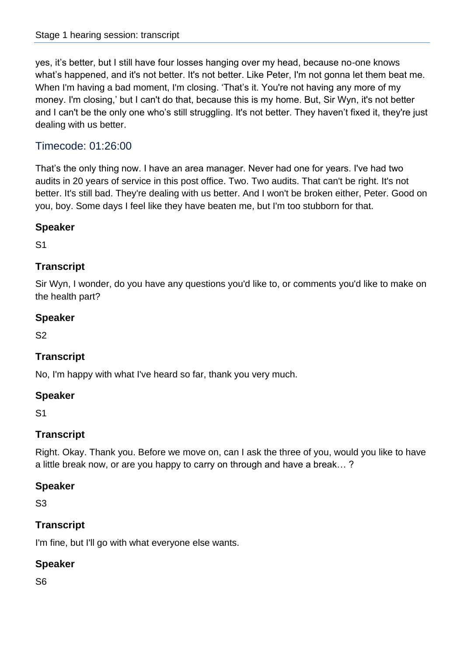yes, it's better, but I still have four losses hanging over my head, because no-one knows what's happened, and it's not better. It's not better. Like Peter, I'm not gonna let them beat me. When I'm having a bad moment, I'm closing. 'That's it. You're not having any more of my money. I'm closing,' but I can't do that, because this is my home. But, Sir Wyn, it's not better and I can't be the only one who's still struggling. It's not better. They haven't fixed it, they're just dealing with us better.

# Timecode: 01:26:00

That's the only thing now. I have an area manager. Never had one for years. I've had two audits in 20 years of service in this post office. Two. Two audits. That can't be right. It's not better. It's still bad. They're dealing with us better. And I won't be broken either, Peter. Good on you, boy. Some days I feel like they have beaten me, but I'm too stubborn for that.

### **Speaker**

S1

## **Transcript**

Sir Wyn, I wonder, do you have any questions you'd like to, or comments you'd like to make on the health part?

### **Speaker**

S2

## **Transcript**

No, I'm happy with what I've heard so far, thank you very much.

### **Speaker**

S1

## **Transcript**

Right. Okay. Thank you. Before we move on, can I ask the three of you, would you like to have a little break now, or are you happy to carry on through and have a break… ?

### **Speaker**

S3

## **Transcript**

I'm fine, but I'll go with what everyone else wants.

### **Speaker**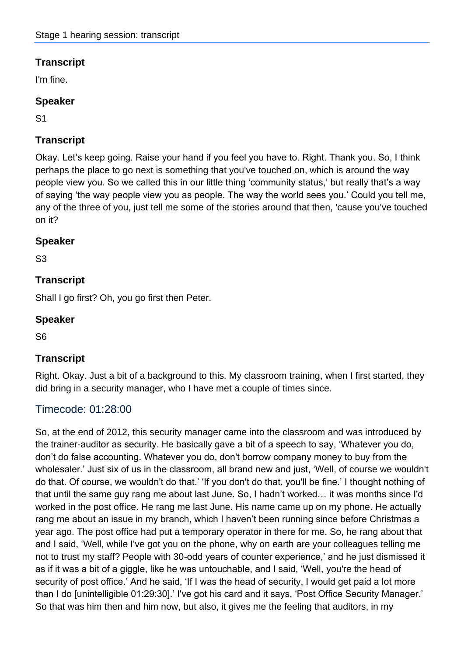I'm fine.

## **Speaker**

S1

# **Transcript**

Okay. Let's keep going. Raise your hand if you feel you have to. Right. Thank you. So, I think perhaps the place to go next is something that you've touched on, which is around the way people view you. So we called this in our little thing 'community status,' but really that's a way of saying 'the way people view you as people. The way the world sees you.' Could you tell me, any of the three of you, just tell me some of the stories around that then, 'cause you've touched on it?

## **Speaker**

S3

## **Transcript**

Shall I go first? Oh, you go first then Peter.

## **Speaker**

S6

# **Transcript**

Right. Okay. Just a bit of a background to this. My classroom training, when I first started, they did bring in a security manager, who I have met a couple of times since.

# Timecode: 01:28:00

So, at the end of 2012, this security manager came into the classroom and was introduced by the trainer-auditor as security. He basically gave a bit of a speech to say, 'Whatever you do, don't do false accounting. Whatever you do, don't borrow company money to buy from the wholesaler.' Just six of us in the classroom, all brand new and just, 'Well, of course we wouldn't do that. Of course, we wouldn't do that.' 'If you don't do that, you'll be fine.' I thought nothing of that until the same guy rang me about last June. So, I hadn't worked… it was months since I'd worked in the post office. He rang me last June. His name came up on my phone. He actually rang me about an issue in my branch, which I haven't been running since before Christmas a year ago. The post office had put a temporary operator in there for me. So, he rang about that and I said, 'Well, while I've got you on the phone, why on earth are your colleagues telling me not to trust my staff? People with 30-odd years of counter experience,' and he just dismissed it as if it was a bit of a giggle, like he was untouchable, and I said, 'Well, you're the head of security of post office.' And he said, 'If I was the head of security, I would get paid a lot more than I do [unintelligible 01:29:30].' I've got his card and it says, 'Post Office Security Manager.' So that was him then and him now, but also, it gives me the feeling that auditors, in my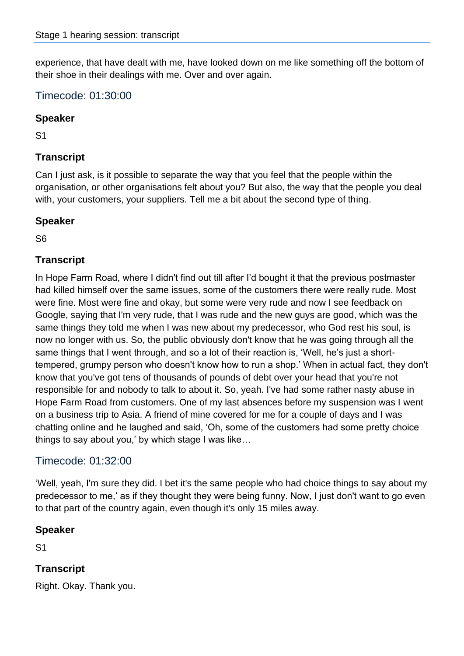experience, that have dealt with me, have looked down on me like something off the bottom of their shoe in their dealings with me. Over and over again.

### Timecode: 01:30:00

#### **Speaker**

S1

### **Transcript**

Can I just ask, is it possible to separate the way that you feel that the people within the organisation, or other organisations felt about you? But also, the way that the people you deal with, your customers, your suppliers. Tell me a bit about the second type of thing.

### **Speaker**

S6

### **Transcript**

In Hope Farm Road, where I didn't find out till after I'd bought it that the previous postmaster had killed himself over the same issues, some of the customers there were really rude. Most were fine. Most were fine and okay, but some were very rude and now I see feedback on Google, saying that I'm very rude, that I was rude and the new guys are good, which was the same things they told me when I was new about my predecessor, who God rest his soul, is now no longer with us. So, the public obviously don't know that he was going through all the same things that I went through, and so a lot of their reaction is, 'Well, he's just a shorttempered, grumpy person who doesn't know how to run a shop.' When in actual fact, they don't know that you've got tens of thousands of pounds of debt over your head that you're not responsible for and nobody to talk to about it. So, yeah. I've had some rather nasty abuse in Hope Farm Road from customers. One of my last absences before my suspension was I went on a business trip to Asia. A friend of mine covered for me for a couple of days and I was chatting online and he laughed and said, 'Oh, some of the customers had some pretty choice things to say about you,' by which stage I was like…

## Timecode: 01:32:00

'Well, yeah, I'm sure they did. I bet it's the same people who had choice things to say about my predecessor to me,' as if they thought they were being funny. Now, I just don't want to go even to that part of the country again, even though it's only 15 miles away.

#### **Speaker**

S1

## **Transcript**

Right. Okay. Thank you.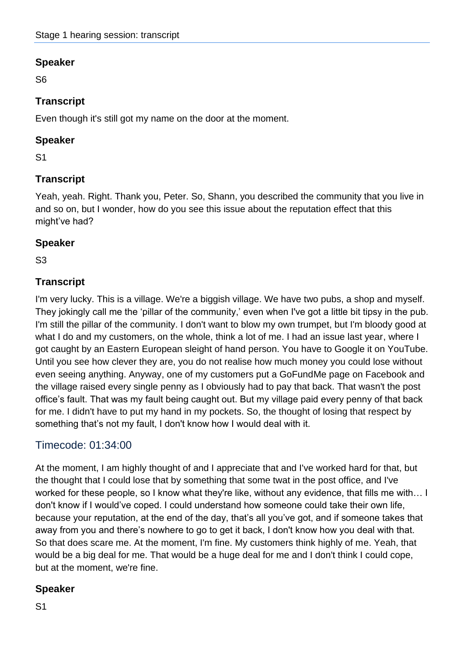S6

## **Transcript**

Even though it's still got my name on the door at the moment.

### **Speaker**

S1

# **Transcript**

Yeah, yeah. Right. Thank you, Peter. So, Shann, you described the community that you live in and so on, but I wonder, how do you see this issue about the reputation effect that this might've had?

## **Speaker**

S3

## **Transcript**

I'm very lucky. This is a village. We're a biggish village. We have two pubs, a shop and myself. They jokingly call me the 'pillar of the community,' even when I've got a little bit tipsy in the pub. I'm still the pillar of the community. I don't want to blow my own trumpet, but I'm bloody good at what I do and my customers, on the whole, think a lot of me. I had an issue last year, where I got caught by an Eastern European sleight of hand person. You have to Google it on YouTube. Until you see how clever they are, you do not realise how much money you could lose without even seeing anything. Anyway, one of my customers put a GoFundMe page on Facebook and the village raised every single penny as I obviously had to pay that back. That wasn't the post office's fault. That was my fault being caught out. But my village paid every penny of that back for me. I didn't have to put my hand in my pockets. So, the thought of losing that respect by something that's not my fault, I don't know how I would deal with it.

# Timecode: 01:34:00

At the moment, I am highly thought of and I appreciate that and I've worked hard for that, but the thought that I could lose that by something that some twat in the post office, and I've worked for these people, so I know what they're like, without any evidence, that fills me with… I don't know if I would've coped. I could understand how someone could take their own life, because your reputation, at the end of the day, that's all you've got, and if someone takes that away from you and there's nowhere to go to get it back, I don't know how you deal with that. So that does scare me. At the moment, I'm fine. My customers think highly of me. Yeah, that would be a big deal for me. That would be a huge deal for me and I don't think I could cope, but at the moment, we're fine.

# **Speaker**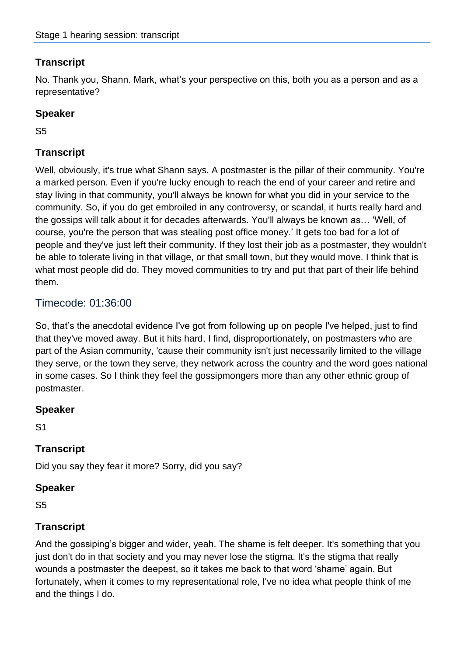No. Thank you, Shann. Mark, what's your perspective on this, both you as a person and as a representative?

### **Speaker**

S5

## **Transcript**

Well, obviously, it's true what Shann says. A postmaster is the pillar of their community. You're a marked person. Even if you're lucky enough to reach the end of your career and retire and stay living in that community, you'll always be known for what you did in your service to the community. So, if you do get embroiled in any controversy, or scandal, it hurts really hard and the gossips will talk about it for decades afterwards. You'll always be known as… 'Well, of course, you're the person that was stealing post office money.' It gets too bad for a lot of people and they've just left their community. If they lost their job as a postmaster, they wouldn't be able to tolerate living in that village, or that small town, but they would move. I think that is what most people did do. They moved communities to try and put that part of their life behind them.

### Timecode: 01:36:00

So, that's the anecdotal evidence I've got from following up on people I've helped, just to find that they've moved away. But it hits hard, I find, disproportionately, on postmasters who are part of the Asian community, 'cause their community isn't just necessarily limited to the village they serve, or the town they serve, they network across the country and the word goes national in some cases. So I think they feel the gossipmongers more than any other ethnic group of postmaster.

### **Speaker**

S1

### **Transcript**

Did you say they fear it more? Sorry, did you say?

### **Speaker**

S5

### **Transcript**

And the gossiping's bigger and wider, yeah. The shame is felt deeper. It's something that you just don't do in that society and you may never lose the stigma. It's the stigma that really wounds a postmaster the deepest, so it takes me back to that word 'shame' again. But fortunately, when it comes to my representational role, I've no idea what people think of me and the things I do.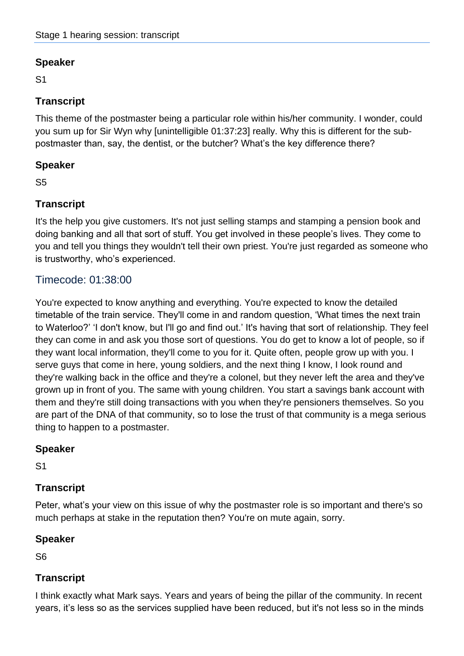S1

## **Transcript**

This theme of the postmaster being a particular role within his/her community. I wonder, could you sum up for Sir Wyn why [unintelligible 01:37:23] really. Why this is different for the subpostmaster than, say, the dentist, or the butcher? What's the key difference there?

#### **Speaker**

S5

## **Transcript**

It's the help you give customers. It's not just selling stamps and stamping a pension book and doing banking and all that sort of stuff. You get involved in these people's lives. They come to you and tell you things they wouldn't tell their own priest. You're just regarded as someone who is trustworthy, who's experienced.

## Timecode: 01:38:00

You're expected to know anything and everything. You're expected to know the detailed timetable of the train service. They'll come in and random question, 'What times the next train to Waterloo?' 'I don't know, but I'll go and find out.' It's having that sort of relationship. They feel they can come in and ask you those sort of questions. You do get to know a lot of people, so if they want local information, they'll come to you for it. Quite often, people grow up with you. I serve guys that come in here, young soldiers, and the next thing I know, I look round and they're walking back in the office and they're a colonel, but they never left the area and they've grown up in front of you. The same with young children. You start a savings bank account with them and they're still doing transactions with you when they're pensioners themselves. So you are part of the DNA of that community, so to lose the trust of that community is a mega serious thing to happen to a postmaster.

### **Speaker**

S1

### **Transcript**

Peter, what's your view on this issue of why the postmaster role is so important and there's so much perhaps at stake in the reputation then? You're on mute again, sorry.

### **Speaker**

S6

### **Transcript**

I think exactly what Mark says. Years and years of being the pillar of the community. In recent years, it's less so as the services supplied have been reduced, but it's not less so in the minds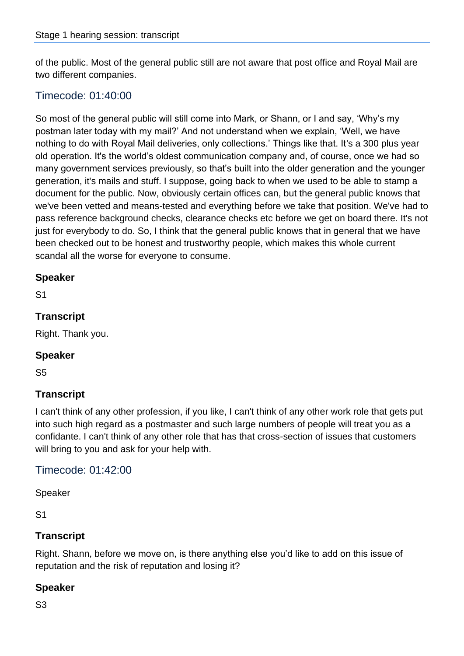of the public. Most of the general public still are not aware that post office and Royal Mail are two different companies.

### Timecode: 01:40:00

So most of the general public will still come into Mark, or Shann, or I and say, 'Why's my postman later today with my mail?' And not understand when we explain, 'Well, we have nothing to do with Royal Mail deliveries, only collections.' Things like that. It's a 300 plus year old operation. It's the world's oldest communication company and, of course, once we had so many government services previously, so that's built into the older generation and the younger generation, it's mails and stuff. I suppose, going back to when we used to be able to stamp a document for the public. Now, obviously certain offices can, but the general public knows that we've been vetted and means-tested and everything before we take that position. We've had to pass reference background checks, clearance checks etc before we get on board there. It's not just for everybody to do. So, I think that the general public knows that in general that we have been checked out to be honest and trustworthy people, which makes this whole current scandal all the worse for everyone to consume.

#### **Speaker**

S1

#### **Transcript**

Right. Thank you.

#### **Speaker**

S5

### **Transcript**

I can't think of any other profession, if you like, I can't think of any other work role that gets put into such high regard as a postmaster and such large numbers of people will treat you as a confidante. I can't think of any other role that has that cross-section of issues that customers will bring to you and ask for your help with.

### Timecode: 01:42:00

Speaker

S1

### **Transcript**

Right. Shann, before we move on, is there anything else you'd like to add on this issue of reputation and the risk of reputation and losing it?

### **Speaker**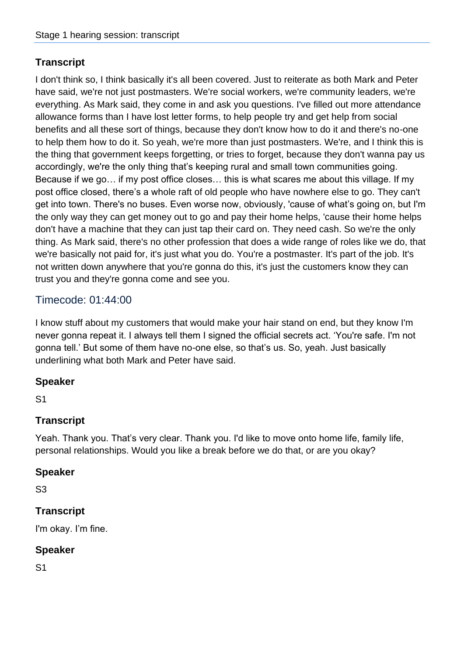I don't think so, I think basically it's all been covered. Just to reiterate as both Mark and Peter have said, we're not just postmasters. We're social workers, we're community leaders, we're everything. As Mark said, they come in and ask you questions. I've filled out more attendance allowance forms than I have lost letter forms, to help people try and get help from social benefits and all these sort of things, because they don't know how to do it and there's no-one to help them how to do it. So yeah, we're more than just postmasters. We're, and I think this is the thing that government keeps forgetting, or tries to forget, because they don't wanna pay us accordingly, we're the only thing that's keeping rural and small town communities going. Because if we go… if my post office closes… this is what scares me about this village. If my post office closed, there's a whole raft of old people who have nowhere else to go. They can't get into town. There's no buses. Even worse now, obviously, 'cause of what's going on, but I'm the only way they can get money out to go and pay their home helps, 'cause their home helps don't have a machine that they can just tap their card on. They need cash. So we're the only thing. As Mark said, there's no other profession that does a wide range of roles like we do, that we're basically not paid for, it's just what you do. You're a postmaster. It's part of the job. It's not written down anywhere that you're gonna do this, it's just the customers know they can trust you and they're gonna come and see you.

# Timecode: 01:44:00

I know stuff about my customers that would make your hair stand on end, but they know I'm never gonna repeat it. I always tell them I signed the official secrets act. 'You're safe. I'm not gonna tell.' But some of them have no-one else, so that's us. So, yeah. Just basically underlining what both Mark and Peter have said.

### **Speaker**

S1

## **Transcript**

Yeah. Thank you. That's very clear. Thank you. I'd like to move onto home life, family life, personal relationships. Would you like a break before we do that, or are you okay?

### **Speaker**

S3

## **Transcript**

I'm okay. I'm fine.

### **Speaker**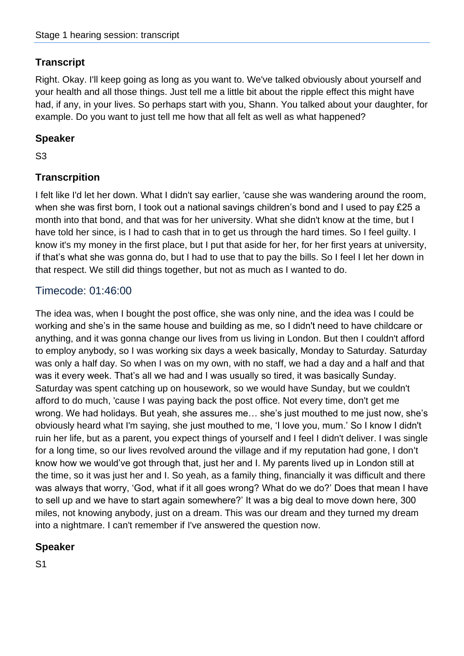Right. Okay. I'll keep going as long as you want to. We've talked obviously about yourself and your health and all those things. Just tell me a little bit about the ripple effect this might have had, if any, in your lives. So perhaps start with you, Shann. You talked about your daughter, for example. Do you want to just tell me how that all felt as well as what happened?

### **Speaker**

S3

## **Transcrpition**

I felt like I'd let her down. What I didn't say earlier, 'cause she was wandering around the room, when she was first born, I took out a national savings children's bond and I used to pay £25 a month into that bond, and that was for her university. What she didn't know at the time, but I have told her since, is I had to cash that in to get us through the hard times. So I feel guilty. I know it's my money in the first place, but I put that aside for her, for her first years at university, if that's what she was gonna do, but I had to use that to pay the bills. So I feel I let her down in that respect. We still did things together, but not as much as I wanted to do.

## Timecode: 01:46:00

The idea was, when I bought the post office, she was only nine, and the idea was I could be working and she's in the same house and building as me, so I didn't need to have childcare or anything, and it was gonna change our lives from us living in London. But then I couldn't afford to employ anybody, so I was working six days a week basically, Monday to Saturday. Saturday was only a half day. So when I was on my own, with no staff, we had a day and a half and that was it every week. That's all we had and I was usually so tired, it was basically Sunday. Saturday was spent catching up on housework, so we would have Sunday, but we couldn't afford to do much, 'cause I was paying back the post office. Not every time, don't get me wrong. We had holidays. But yeah, she assures me… she's just mouthed to me just now, she's obviously heard what I'm saying, she just mouthed to me, 'I love you, mum.' So I know I didn't ruin her life, but as a parent, you expect things of yourself and I feel I didn't deliver. I was single for a long time, so our lives revolved around the village and if my reputation had gone, I don't know how we would've got through that, just her and I. My parents lived up in London still at the time, so it was just her and I. So yeah, as a family thing, financially it was difficult and there was always that worry, 'God, what if it all goes wrong? What do we do?' Does that mean I have to sell up and we have to start again somewhere?' It was a big deal to move down here, 300 miles, not knowing anybody, just on a dream. This was our dream and they turned my dream into a nightmare. I can't remember if I've answered the question now.

## **Speaker**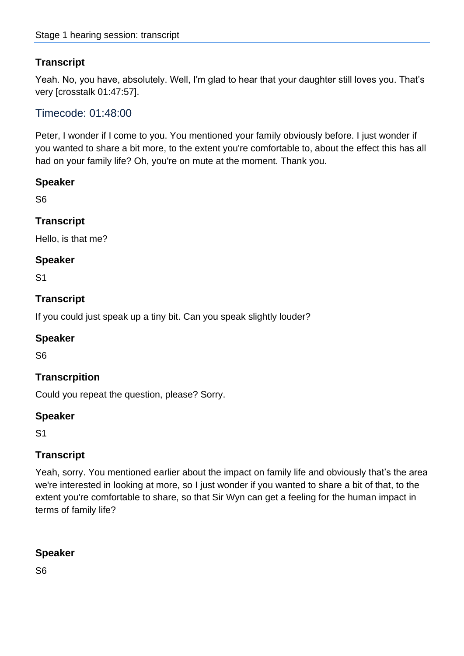Yeah. No, you have, absolutely. Well, I'm glad to hear that your daughter still loves you. That's very [crosstalk 01:47:57].

## Timecode: 01:48:00

Peter, I wonder if I come to you. You mentioned your family obviously before. I just wonder if you wanted to share a bit more, to the extent you're comfortable to, about the effect this has all had on your family life? Oh, you're on mute at the moment. Thank you.

### **Speaker**

S6

### **Transcript**

Hello, is that me?

### **Speaker**

S1

### **Transcript**

If you could just speak up a tiny bit. Can you speak slightly louder?

### **Speaker**

S6

### **Transcrpition**

Could you repeat the question, please? Sorry.

### **Speaker**

S1

### **Transcript**

Yeah, sorry. You mentioned earlier about the impact on family life and obviously that's the area we're interested in looking at more, so I just wonder if you wanted to share a bit of that, to the extent you're comfortable to share, so that Sir Wyn can get a feeling for the human impact in terms of family life?

### **Speaker**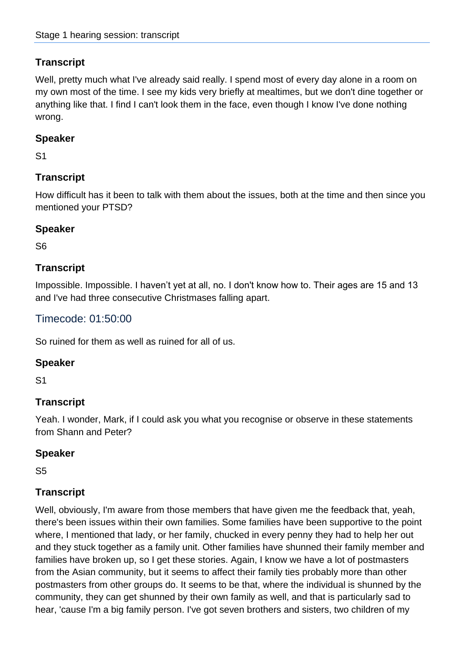Well, pretty much what I've already said really. I spend most of every day alone in a room on my own most of the time. I see my kids very briefly at mealtimes, but we don't dine together or anything like that. I find I can't look them in the face, even though I know I've done nothing wrong.

### **Speaker**

S1

## **Transcript**

How difficult has it been to talk with them about the issues, both at the time and then since you mentioned your PTSD?

### **Speaker**

S6

### **Transcript**

Impossible. Impossible. I haven't yet at all, no. I don't know how to. Their ages are 15 and 13 and I've had three consecutive Christmases falling apart.

## Timecode: 01:50:00

So ruined for them as well as ruined for all of us.

#### **Speaker**

S1

## **Transcript**

Yeah. I wonder, Mark, if I could ask you what you recognise or observe in these statements from Shann and Peter?

### **Speaker**

S5

## **Transcript**

Well, obviously, I'm aware from those members that have given me the feedback that, yeah, there's been issues within their own families. Some families have been supportive to the point where, I mentioned that lady, or her family, chucked in every penny they had to help her out and they stuck together as a family unit. Other families have shunned their family member and families have broken up, so I get these stories. Again, I know we have a lot of postmasters from the Asian community, but it seems to affect their family ties probably more than other postmasters from other groups do. It seems to be that, where the individual is shunned by the community, they can get shunned by their own family as well, and that is particularly sad to hear, 'cause I'm a big family person. I've got seven brothers and sisters, two children of my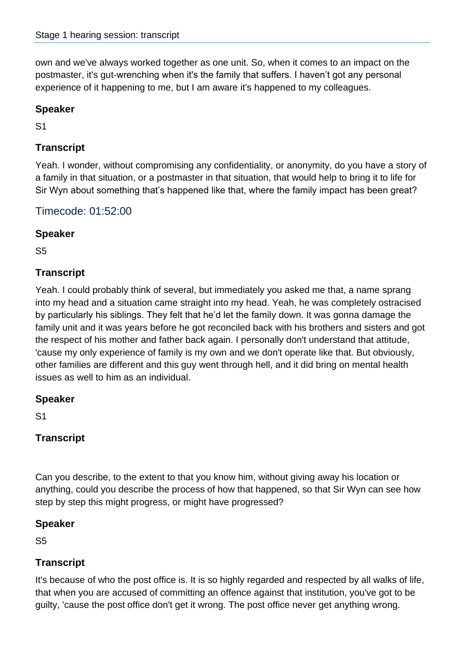own and we've always worked together as one unit. So, when it comes to an impact on the postmaster, it's gut-wrenching when it's the family that suffers. I haven't got any personal experience of it happening to me, but I am aware it's happened to my colleagues.

### **Speaker**

S1

## **Transcript**

Yeah. I wonder, without compromising any confidentiality, or anonymity, do you have a story of a family in that situation, or a postmaster in that situation, that would help to bring it to life for Sir Wyn about something that's happened like that, where the family impact has been great?

Timecode: 01:52:00

## **Speaker**

S5

## **Transcript**

Yeah. I could probably think of several, but immediately you asked me that, a name sprang into my head and a situation came straight into my head. Yeah, he was completely ostracised by particularly his siblings. They felt that he'd let the family down. It was gonna damage the family unit and it was years before he got reconciled back with his brothers and sisters and got the respect of his mother and father back again. I personally don't understand that attitude, 'cause my only experience of family is my own and we don't operate like that. But obviously, other families are different and this guy went through hell, and it did bring on mental health issues as well to him as an individual.

## **Speaker**

S1

## **Transcript**

Can you describe, to the extent to that you know him, without giving away his location or anything, could you describe the process of how that happened, so that Sir Wyn can see how step by step this might progress, or might have progressed?

## **Speaker**

S5

# **Transcript**

It's because of who the post office is. It is so highly regarded and respected by all walks of life, that when you are accused of committing an offence against that institution, you've got to be guilty, 'cause the post office don't get it wrong. The post office never get anything wrong.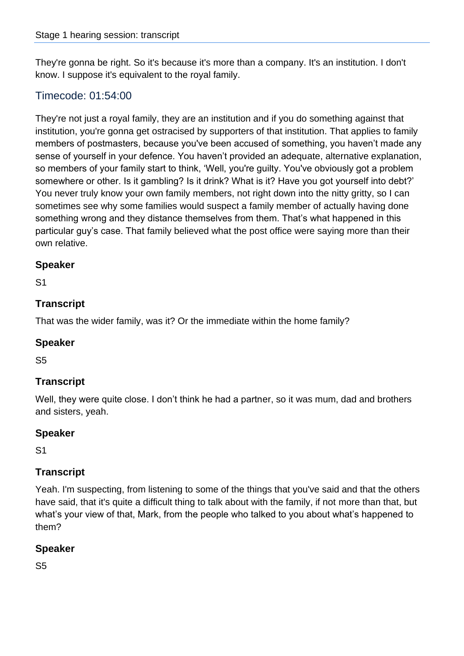They're gonna be right. So it's because it's more than a company. It's an institution. I don't know. I suppose it's equivalent to the royal family.

## Timecode: 01:54:00

They're not just a royal family, they are an institution and if you do something against that institution, you're gonna get ostracised by supporters of that institution. That applies to family members of postmasters, because you've been accused of something, you haven't made any sense of yourself in your defence. You haven't provided an adequate, alternative explanation, so members of your family start to think, 'Well, you're guilty. You've obviously got a problem somewhere or other. Is it gambling? Is it drink? What is it? Have you got yourself into debt?' You never truly know your own family members, not right down into the nitty gritty, so I can sometimes see why some families would suspect a family member of actually having done something wrong and they distance themselves from them. That's what happened in this particular guy's case. That family believed what the post office were saying more than their own relative.

### **Speaker**

S1

### **Transcript**

That was the wider family, was it? Or the immediate within the home family?

#### **Speaker**

S5

### **Transcript**

Well, they were quite close. I don't think he had a partner, so it was mum, dad and brothers and sisters, yeah.

### **Speaker**

S1

### **Transcript**

Yeah. I'm suspecting, from listening to some of the things that you've said and that the others have said, that it's quite a difficult thing to talk about with the family, if not more than that, but what's your view of that, Mark, from the people who talked to you about what's happened to them?

### **Speaker**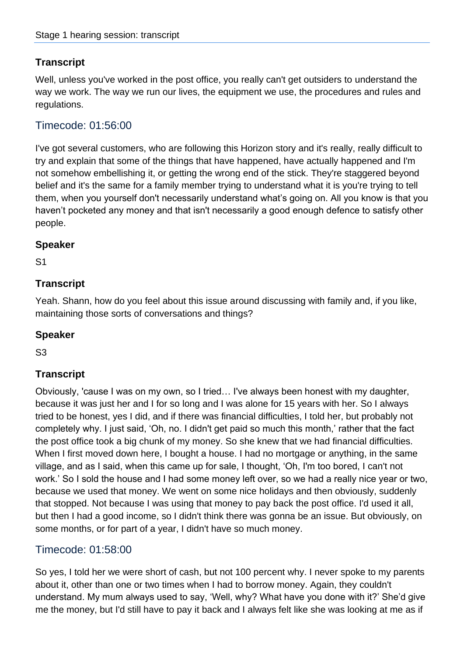Well, unless you've worked in the post office, you really can't get outsiders to understand the way we work. The way we run our lives, the equipment we use, the procedures and rules and regulations.

### Timecode: 01:56:00

I've got several customers, who are following this Horizon story and it's really, really difficult to try and explain that some of the things that have happened, have actually happened and I'm not somehow embellishing it, or getting the wrong end of the stick. They're staggered beyond belief and it's the same for a family member trying to understand what it is you're trying to tell them, when you yourself don't necessarily understand what's going on. All you know is that you haven't pocketed any money and that isn't necessarily a good enough defence to satisfy other people.

#### **Speaker**

S1

## **Transcript**

Yeah. Shann, how do you feel about this issue around discussing with family and, if you like, maintaining those sorts of conversations and things?

#### **Speaker**

S3

## **Transcript**

Obviously, 'cause I was on my own, so I tried… I've always been honest with my daughter, because it was just her and I for so long and I was alone for 15 years with her. So I always tried to be honest, yes I did, and if there was financial difficulties, I told her, but probably not completely why. I just said, 'Oh, no. I didn't get paid so much this month,' rather that the fact the post office took a big chunk of my money. So she knew that we had financial difficulties. When I first moved down here, I bought a house. I had no mortgage or anything, in the same village, and as I said, when this came up for sale, I thought, 'Oh, I'm too bored, I can't not work.' So I sold the house and I had some money left over, so we had a really nice year or two, because we used that money. We went on some nice holidays and then obviously, suddenly that stopped. Not because I was using that money to pay back the post office. I'd used it all, but then I had a good income, so I didn't think there was gonna be an issue. But obviously, on some months, or for part of a year, I didn't have so much money.

## Timecode: 01:58:00

So yes, I told her we were short of cash, but not 100 percent why. I never spoke to my parents about it, other than one or two times when I had to borrow money. Again, they couldn't understand. My mum always used to say, 'Well, why? What have you done with it?' She'd give me the money, but I'd still have to pay it back and I always felt like she was looking at me as if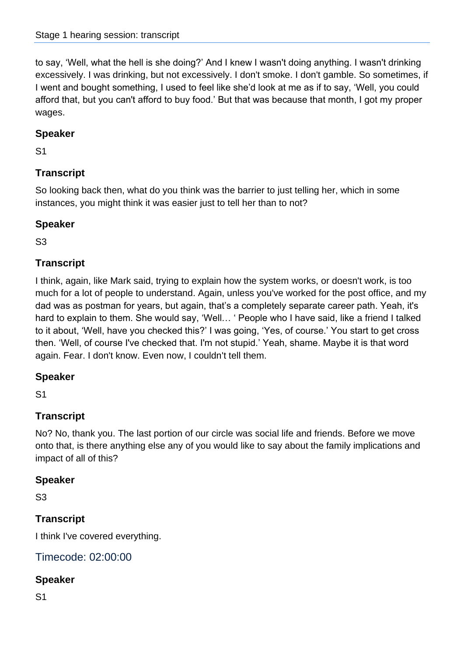to say, 'Well, what the hell is she doing?' And I knew I wasn't doing anything. I wasn't drinking excessively. I was drinking, but not excessively. I don't smoke. I don't gamble. So sometimes, if I went and bought something, I used to feel like she'd look at me as if to say, 'Well, you could afford that, but you can't afford to buy food.' But that was because that month, I got my proper wages.

## **Speaker**

S1

# **Transcript**

So looking back then, what do you think was the barrier to just telling her, which in some instances, you might think it was easier just to tell her than to not?

### **Speaker**

S3

## **Transcript**

I think, again, like Mark said, trying to explain how the system works, or doesn't work, is too much for a lot of people to understand. Again, unless you've worked for the post office, and my dad was as postman for years, but again, that's a completely separate career path. Yeah, it's hard to explain to them. She would say, 'Well… ' People who I have said, like a friend I talked to it about, 'Well, have you checked this?' I was going, 'Yes, of course.' You start to get cross then. 'Well, of course I've checked that. I'm not stupid.' Yeah, shame. Maybe it is that word again. Fear. I don't know. Even now, I couldn't tell them.

## **Speaker**

S1

# **Transcript**

No? No, thank you. The last portion of our circle was social life and friends. Before we move onto that, is there anything else any of you would like to say about the family implications and impact of all of this?

## **Speaker**

S3

# **Transcript**

I think I've covered everything.

## Timecode: 02:00:00

### **Speaker**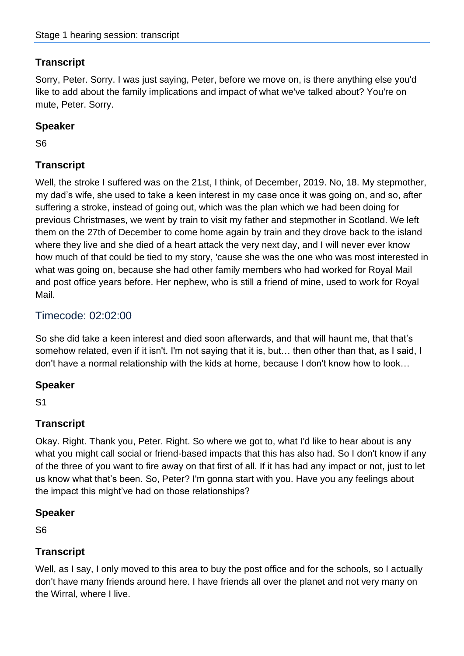Sorry, Peter. Sorry. I was just saying, Peter, before we move on, is there anything else you'd like to add about the family implications and impact of what we've talked about? You're on mute, Peter. Sorry.

### **Speaker**

S6

## **Transcript**

Well, the stroke I suffered was on the 21st, I think, of December, 2019. No, 18. My stepmother, my dad's wife, she used to take a keen interest in my case once it was going on, and so, after suffering a stroke, instead of going out, which was the plan which we had been doing for previous Christmases, we went by train to visit my father and stepmother in Scotland. We left them on the 27th of December to come home again by train and they drove back to the island where they live and she died of a heart attack the very next day, and I will never ever know how much of that could be tied to my story, 'cause she was the one who was most interested in what was going on, because she had other family members who had worked for Royal Mail and post office years before. Her nephew, who is still a friend of mine, used to work for Royal Mail.

## Timecode: 02:02:00

So she did take a keen interest and died soon afterwards, and that will haunt me, that that's somehow related, even if it isn't. I'm not saying that it is, but… then other than that, as I said, I don't have a normal relationship with the kids at home, because I don't know how to look…

### **Speaker**

S1

## **Transcript**

Okay. Right. Thank you, Peter. Right. So where we got to, what I'd like to hear about is any what you might call social or friend-based impacts that this has also had. So I don't know if any of the three of you want to fire away on that first of all. If it has had any impact or not, just to let us know what that's been. So, Peter? I'm gonna start with you. Have you any feelings about the impact this might've had on those relationships?

### **Speaker**

S6

## **Transcript**

Well, as I say, I only moved to this area to buy the post office and for the schools, so I actually don't have many friends around here. I have friends all over the planet and not very many on the Wirral, where I live.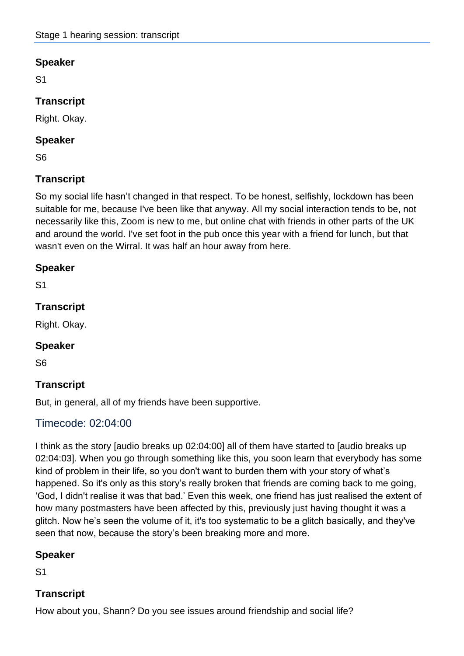S1

## **Transcript**

Right. Okay.

#### **Speaker**

S6

## **Transcript**

So my social life hasn't changed in that respect. To be honest, selfishly, lockdown has been suitable for me, because I've been like that anyway. All my social interaction tends to be, not necessarily like this, Zoom is new to me, but online chat with friends in other parts of the UK and around the world. I've set foot in the pub once this year with a friend for lunch, but that wasn't even on the Wirral. It was half an hour away from here.

### **Speaker**

S1

## **Transcript**

Right. Okay.

### **Speaker**

S6

## **Transcript**

But, in general, all of my friends have been supportive.

## Timecode: 02:04:00

I think as the story [audio breaks up 02:04:00] all of them have started to [audio breaks up 02:04:03]. When you go through something like this, you soon learn that everybody has some kind of problem in their life, so you don't want to burden them with your story of what's happened. So it's only as this story's really broken that friends are coming back to me going, 'God, I didn't realise it was that bad.' Even this week, one friend has just realised the extent of how many postmasters have been affected by this, previously just having thought it was a glitch. Now he's seen the volume of it, it's too systematic to be a glitch basically, and they've seen that now, because the story's been breaking more and more.

### **Speaker**

S1

## **Transcript**

How about you, Shann? Do you see issues around friendship and social life?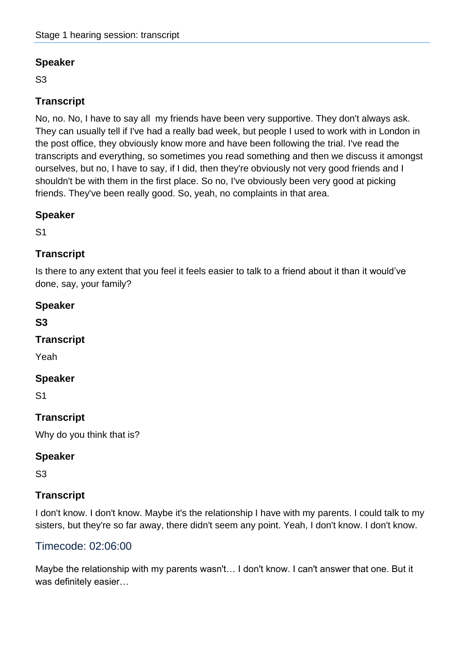S3

## **Transcript**

No, no. No, I have to say all my friends have been very supportive. They don't always ask. They can usually tell if I've had a really bad week, but people I used to work with in London in the post office, they obviously know more and have been following the trial. I've read the transcripts and everything, so sometimes you read something and then we discuss it amongst ourselves, but no, I have to say, if I did, then they're obviously not very good friends and I shouldn't be with them in the first place. So no, I've obviously been very good at picking friends. They've been really good. So, yeah, no complaints in that area.

## **Speaker**

S1

## **Transcript**

Is there to any extent that you feel it feels easier to talk to a friend about it than it would've done, say, your family?

### **Speaker**

**S3**

## **Transcript**

Yeah

### **Speaker**

S1

## **Transcript**

Why do you think that is?

### **Speaker**

S3

## **Transcript**

I don't know. I don't know. Maybe it's the relationship I have with my parents. I could talk to my sisters, but they're so far away, there didn't seem any point. Yeah, I don't know. I don't know.

## Timecode: 02:06:00

Maybe the relationship with my parents wasn't… I don't know. I can't answer that one. But it was definitely easier…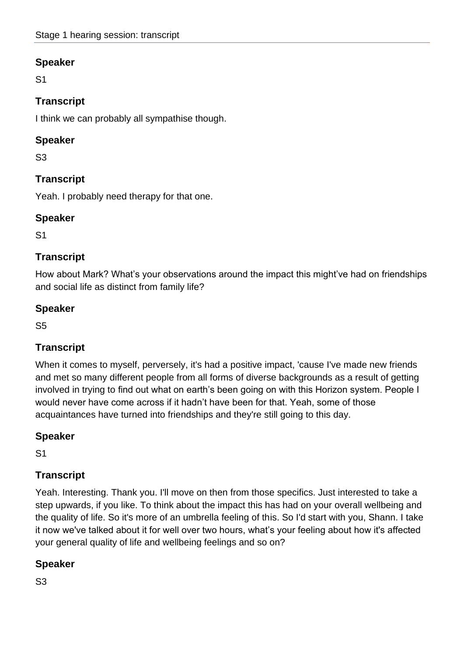S1

## **Transcript**

I think we can probably all sympathise though.

## **Speaker**

S3

# **Transcript**

Yeah. I probably need therapy for that one.

## **Speaker**

S1

## **Transcript**

How about Mark? What's your observations around the impact this might've had on friendships and social life as distinct from family life?

## **Speaker**

S5

# **Transcript**

When it comes to myself, perversely, it's had a positive impact, 'cause I've made new friends and met so many different people from all forms of diverse backgrounds as a result of getting involved in trying to find out what on earth's been going on with this Horizon system. People I would never have come across if it hadn't have been for that. Yeah, some of those acquaintances have turned into friendships and they're still going to this day.

# **Speaker**

S1

# **Transcript**

Yeah. Interesting. Thank you. I'll move on then from those specifics. Just interested to take a step upwards, if you like. To think about the impact this has had on your overall wellbeing and the quality of life. So it's more of an umbrella feeling of this. So I'd start with you, Shann. I take it now we've talked about it for well over two hours, what's your feeling about how it's affected your general quality of life and wellbeing feelings and so on?

# **Speaker**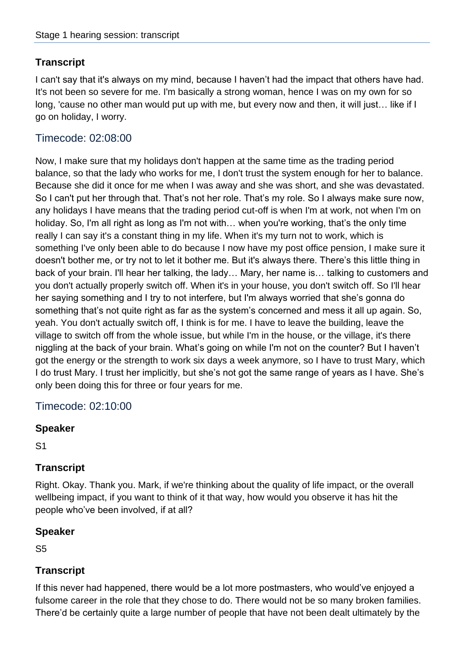I can't say that it's always on my mind, because I haven't had the impact that others have had. It's not been so severe for me. I'm basically a strong woman, hence I was on my own for so long, 'cause no other man would put up with me, but every now and then, it will just… like if I go on holiday, I worry.

### Timecode: 02:08:00

Now, I make sure that my holidays don't happen at the same time as the trading period balance, so that the lady who works for me, I don't trust the system enough for her to balance. Because she did it once for me when I was away and she was short, and she was devastated. So I can't put her through that. That's not her role. That's my role. So I always make sure now, any holidays I have means that the trading period cut-off is when I'm at work, not when I'm on holiday. So, I'm all right as long as I'm not with… when you're working, that's the only time really I can say it's a constant thing in my life. When it's my turn not to work, which is something I've only been able to do because I now have my post office pension, I make sure it doesn't bother me, or try not to let it bother me. But it's always there. There's this little thing in back of your brain. I'll hear her talking, the lady… Mary, her name is… talking to customers and you don't actually properly switch off. When it's in your house, you don't switch off. So I'll hear her saying something and I try to not interfere, but I'm always worried that she's gonna do something that's not quite right as far as the system's concerned and mess it all up again. So, yeah. You don't actually switch off, I think is for me. I have to leave the building, leave the village to switch off from the whole issue, but while I'm in the house, or the village, it's there niggling at the back of your brain. What's going on while I'm not on the counter? But I haven't got the energy or the strength to work six days a week anymore, so I have to trust Mary, which I do trust Mary. I trust her implicitly, but she's not got the same range of years as I have. She's only been doing this for three or four years for me.

### Timecode: 02:10:00

#### **Speaker**

S1

### **Transcript**

Right. Okay. Thank you. Mark, if we're thinking about the quality of life impact, or the overall wellbeing impact, if you want to think of it that way, how would you observe it has hit the people who've been involved, if at all?

#### **Speaker**

S5

### **Transcript**

If this never had happened, there would be a lot more postmasters, who would've enjoyed a fulsome career in the role that they chose to do. There would not be so many broken families. There'd be certainly quite a large number of people that have not been dealt ultimately by the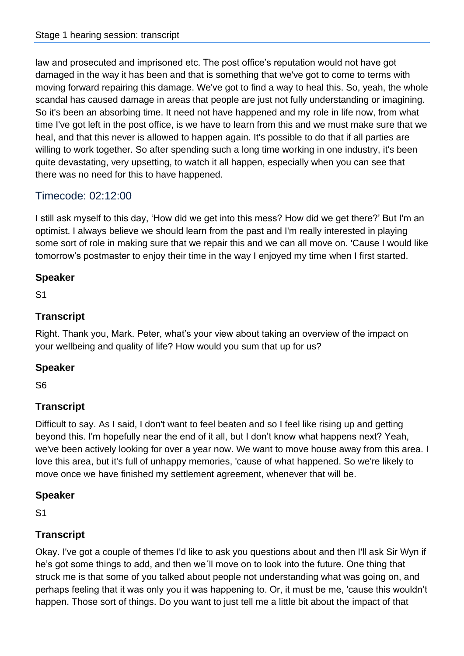law and prosecuted and imprisoned etc. The post office's reputation would not have got damaged in the way it has been and that is something that we've got to come to terms with moving forward repairing this damage. We've got to find a way to heal this. So, yeah, the whole scandal has caused damage in areas that people are just not fully understanding or imagining. So it's been an absorbing time. It need not have happened and my role in life now, from what time I've got left in the post office, is we have to learn from this and we must make sure that we heal, and that this never is allowed to happen again. It's possible to do that if all parties are willing to work together. So after spending such a long time working in one industry, it's been quite devastating, very upsetting, to watch it all happen, especially when you can see that there was no need for this to have happened.

# Timecode: 02:12:00

I still ask myself to this day, 'How did we get into this mess? How did we get there?' But I'm an optimist. I always believe we should learn from the past and I'm really interested in playing some sort of role in making sure that we repair this and we can all move on. 'Cause I would like tomorrow's postmaster to enjoy their time in the way I enjoyed my time when I first started.

### **Speaker**

S1

## **Transcript**

Right. Thank you, Mark. Peter, what's your view about taking an overview of the impact on your wellbeing and quality of life? How would you sum that up for us?

## **Speaker**

S6

# **Transcript**

Difficult to say. As I said, I don't want to feel beaten and so I feel like rising up and getting beyond this. I'm hopefully near the end of it all, but I don't know what happens next? Yeah, we've been actively looking for over a year now. We want to move house away from this area. I love this area, but it's full of unhappy memories, 'cause of what happened. So we're likely to move once we have finished my settlement agreement, whenever that will be.

## **Speaker**

S1

## **Transcript**

Okay. I've got a couple of themes I'd like to ask you questions about and then I'll ask Sir Wyn if he's got some things to add, and then we´ll move on to look into the future. One thing that struck me is that some of you talked about people not understanding what was going on, and perhaps feeling that it was only you it was happening to. Or, it must be me, 'cause this wouldn't happen. Those sort of things. Do you want to just tell me a little bit about the impact of that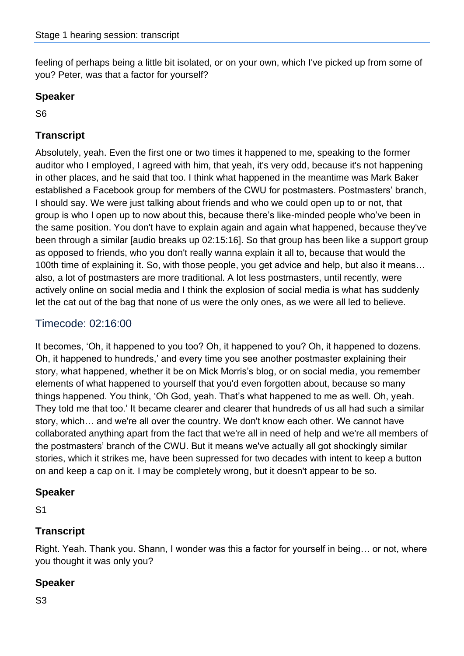feeling of perhaps being a little bit isolated, or on your own, which I've picked up from some of you? Peter, was that a factor for yourself?

### **Speaker**

S6

## **Transcript**

Absolutely, yeah. Even the first one or two times it happened to me, speaking to the former auditor who I employed, I agreed with him, that yeah, it's very odd, because it's not happening in other places, and he said that too. I think what happened in the meantime was Mark Baker established a Facebook group for members of the CWU for postmasters. Postmasters' branch, I should say. We were just talking about friends and who we could open up to or not, that group is who I open up to now about this, because there's like-minded people who've been in the same position. You don't have to explain again and again what happened, because they've been through a similar [audio breaks up 02:15:16]. So that group has been like a support group as opposed to friends, who you don't really wanna explain it all to, because that would the 100th time of explaining it. So, with those people, you get advice and help, but also it means… also, a lot of postmasters are more traditional. A lot less postmasters, until recently, were actively online on social media and I think the explosion of social media is what has suddenly let the cat out of the bag that none of us were the only ones, as we were all led to believe.

## Timecode: 02:16:00

It becomes, 'Oh, it happened to you too? Oh, it happened to you? Oh, it happened to dozens. Oh, it happened to hundreds,' and every time you see another postmaster explaining their story, what happened, whether it be on Mick Morris's blog, or on social media, you remember elements of what happened to yourself that you'd even forgotten about, because so many things happened. You think, 'Oh God, yeah. That's what happened to me as well. Oh, yeah. They told me that too.' It became clearer and clearer that hundreds of us all had such a similar story, which… and we're all over the country. We don't know each other. We cannot have collaborated anything apart from the fact that we're all in need of help and we're all members of the postmasters' branch of the CWU. But it means we've actually all got shockingly similar stories, which it strikes me, have been supressed for two decades with intent to keep a button on and keep a cap on it. I may be completely wrong, but it doesn't appear to be so.

#### **Speaker**

S1

### **Transcript**

Right. Yeah. Thank you. Shann, I wonder was this a factor for yourself in being… or not, where you thought it was only you?

### **Speaker**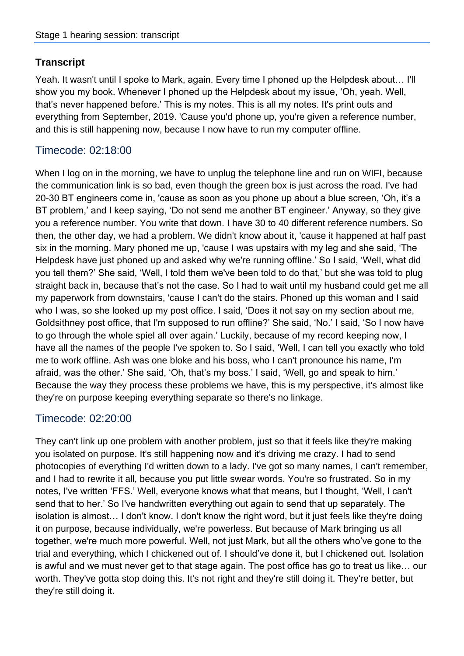Yeah. It wasn't until I spoke to Mark, again. Every time I phoned up the Helpdesk about… I'll show you my book. Whenever I phoned up the Helpdesk about my issue, 'Oh, yeah. Well, that's never happened before.' This is my notes. This is all my notes. It's print outs and everything from September, 2019. 'Cause you'd phone up, you're given a reference number, and this is still happening now, because I now have to run my computer offline.

## Timecode: 02:18:00

When I log on in the morning, we have to unplug the telephone line and run on WIFI, because the communication link is so bad, even though the green box is just across the road. I've had 20-30 BT engineers come in, 'cause as soon as you phone up about a blue screen, 'Oh, it's a BT problem,' and I keep saying, 'Do not send me another BT engineer.' Anyway, so they give you a reference number. You write that down. I have 30 to 40 different reference numbers. So then, the other day, we had a problem. We didn't know about it, 'cause it happened at half past six in the morning. Mary phoned me up, 'cause I was upstairs with my leg and she said, 'The Helpdesk have just phoned up and asked why we're running offline.' So I said, 'Well, what did you tell them?' She said, 'Well, I told them we've been told to do that,' but she was told to plug straight back in, because that's not the case. So I had to wait until my husband could get me all my paperwork from downstairs, 'cause I can't do the stairs. Phoned up this woman and I said who I was, so she looked up my post office. I said, 'Does it not say on my section about me, Goldsithney post office, that I'm supposed to run offline?' She said, 'No.' I said, 'So I now have to go through the whole spiel all over again.' Luckily, because of my record keeping now, I have all the names of the people I've spoken to. So I said, 'Well, I can tell you exactly who told me to work offline. Ash was one bloke and his boss, who I can't pronounce his name, I'm afraid, was the other.' She said, 'Oh, that's my boss.' I said, 'Well, go and speak to him.' Because the way they process these problems we have, this is my perspective, it's almost like they're on purpose keeping everything separate so there's no linkage.

### Timecode: 02:20:00

They can't link up one problem with another problem, just so that it feels like they're making you isolated on purpose. It's still happening now and it's driving me crazy. I had to send photocopies of everything I'd written down to a lady. I've got so many names, I can't remember, and I had to rewrite it all, because you put little swear words. You're so frustrated. So in my notes, I've written 'FFS.' Well, everyone knows what that means, but I thought, 'Well, I can't send that to her.' So I've handwritten everything out again to send that up separately. The isolation is almost… I don't know. I don't know the right word, but it just feels like they're doing it on purpose, because individually, we're powerless. But because of Mark bringing us all together, we're much more powerful. Well, not just Mark, but all the others who've gone to the trial and everything, which I chickened out of. I should've done it, but I chickened out. Isolation is awful and we must never get to that stage again. The post office has go to treat us like… our worth. They've gotta stop doing this. It's not right and they're still doing it. They're better, but they're still doing it.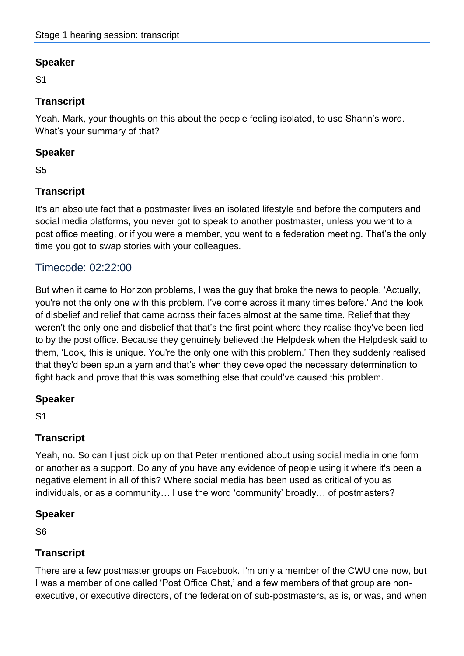S1

## **Transcript**

Yeah. Mark, your thoughts on this about the people feeling isolated, to use Shann's word. What's your summary of that?

## **Speaker**

S5

# **Transcript**

It's an absolute fact that a postmaster lives an isolated lifestyle and before the computers and social media platforms, you never got to speak to another postmaster, unless you went to a post office meeting, or if you were a member, you went to a federation meeting. That's the only time you got to swap stories with your colleagues.

## Timecode: 02:22:00

But when it came to Horizon problems, I was the guy that broke the news to people, 'Actually, you're not the only one with this problem. I've come across it many times before.' And the look of disbelief and relief that came across their faces almost at the same time. Relief that they weren't the only one and disbelief that that's the first point where they realise they've been lied to by the post office. Because they genuinely believed the Helpdesk when the Helpdesk said to them, 'Look, this is unique. You're the only one with this problem.' Then they suddenly realised that they'd been spun a yarn and that's when they developed the necessary determination to fight back and prove that this was something else that could've caused this problem.

## **Speaker**

S1

## **Transcript**

Yeah, no. So can I just pick up on that Peter mentioned about using social media in one form or another as a support. Do any of you have any evidence of people using it where it's been a negative element in all of this? Where social media has been used as critical of you as individuals, or as a community… I use the word 'community' broadly… of postmasters?

## **Speaker**

S6

## **Transcript**

There are a few postmaster groups on Facebook. I'm only a member of the CWU one now, but I was a member of one called 'Post Office Chat,' and a few members of that group are nonexecutive, or executive directors, of the federation of sub-postmasters, as is, or was, and when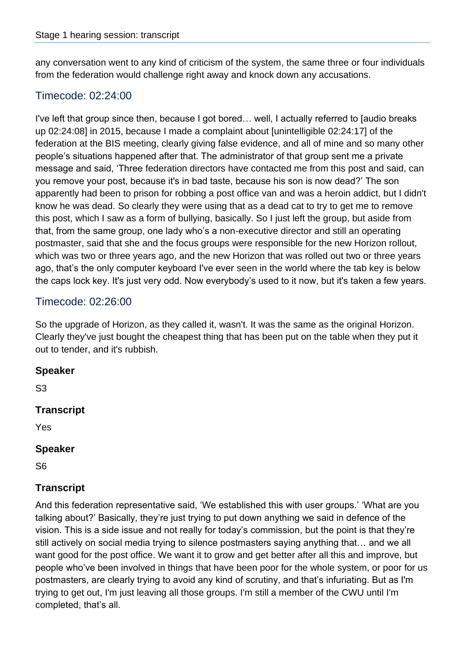any conversation went to any kind of criticism of the system, the same three or four individuals from the federation would challenge right away and knock down any accusations.

### Timecode: 02:24:00

I've left that group since then, because I got bored… well, I actually referred to [audio breaks up 02:24:08] in 2015, because I made a complaint about [unintelligible 02:24:17] of the federation at the BIS meeting, clearly giving false evidence, and all of mine and so many other people's situations happened after that. The administrator of that group sent me a private message and said, 'Three federation directors have contacted me from this post and said, can you remove your post, because it's in bad taste, because his son is now dead?' The son apparently had been to prison for robbing a post office van and was a heroin addict, but I didn't know he was dead. So clearly they were using that as a dead cat to try to get me to remove this post, which I saw as a form of bullying, basically. So I just left the group, but aside from that, from the same group, one lady who's a non-executive director and still an operating postmaster, said that she and the focus groups were responsible for the new Horizon rollout, which was two or three years ago, and the new Horizon that was rolled out two or three years ago, that's the only computer keyboard I've ever seen in the world where the tab key is below the caps lock key. It's just very odd. Now everybody's used to it now, but it's taken a few years.

## Timecode: 02:26:00

So the upgrade of Horizon, as they called it, wasn't. It was the same as the original Horizon. Clearly they've just bought the cheapest thing that has been put on the table when they put it out to tender, and it's rubbish.

### **Speaker**

S3

#### **Transcript**

Yes

#### **Speaker**

S6

### **Transcript**

And this federation representative said, 'We established this with user groups.' 'What are you talking about?' Basically, they're just trying to put down anything we said in defence of the vision. This is a side issue and not really for today's commission, but the point is that they're still actively on social media trying to silence postmasters saying anything that… and we all want good for the post office. We want it to grow and get better after all this and improve, but people who've been involved in things that have been poor for the whole system, or poor for us postmasters, are clearly trying to avoid any kind of scrutiny, and that's infuriating. But as I'm trying to get out, I'm just leaving all those groups. I'm still a member of the CWU until I'm completed, that's all.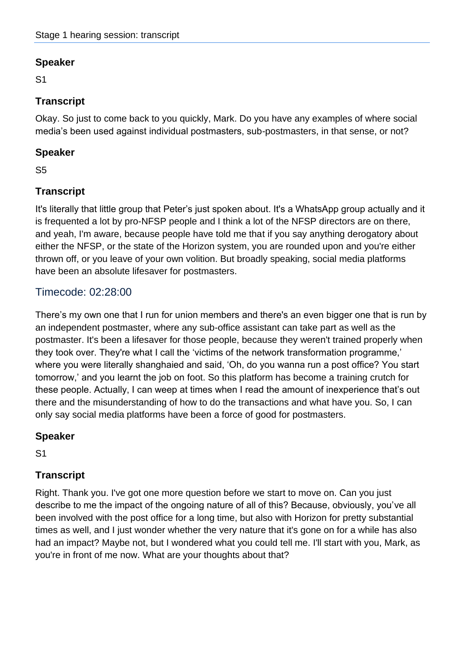S1

## **Transcript**

Okay. So just to come back to you quickly, Mark. Do you have any examples of where social media's been used against individual postmasters, sub-postmasters, in that sense, or not?

### **Speaker**

S5

## **Transcript**

It's literally that little group that Peter's just spoken about. It's a WhatsApp group actually and it is frequented a lot by pro-NFSP people and I think a lot of the NFSP directors are on there, and yeah, I'm aware, because people have told me that if you say anything derogatory about either the NFSP, or the state of the Horizon system, you are rounded upon and you're either thrown off, or you leave of your own volition. But broadly speaking, social media platforms have been an absolute lifesaver for postmasters.

## Timecode: 02:28:00

There's my own one that I run for union members and there's an even bigger one that is run by an independent postmaster, where any sub-office assistant can take part as well as the postmaster. It's been a lifesaver for those people, because they weren't trained properly when they took over. They're what I call the 'victims of the network transformation programme,' where you were literally shanghaied and said, 'Oh, do you wanna run a post office? You start tomorrow,' and you learnt the job on foot. So this platform has become a training crutch for these people. Actually, I can weep at times when I read the amount of inexperience that's out there and the misunderstanding of how to do the transactions and what have you. So, I can only say social media platforms have been a force of good for postmasters.

### **Speaker**

S1

## **Transcript**

Right. Thank you. I've got one more question before we start to move on. Can you just describe to me the impact of the ongoing nature of all of this? Because, obviously, you've all been involved with the post office for a long time, but also with Horizon for pretty substantial times as well, and I just wonder whether the very nature that it's gone on for a while has also had an impact? Maybe not, but I wondered what you could tell me. I'll start with you, Mark, as you're in front of me now. What are your thoughts about that?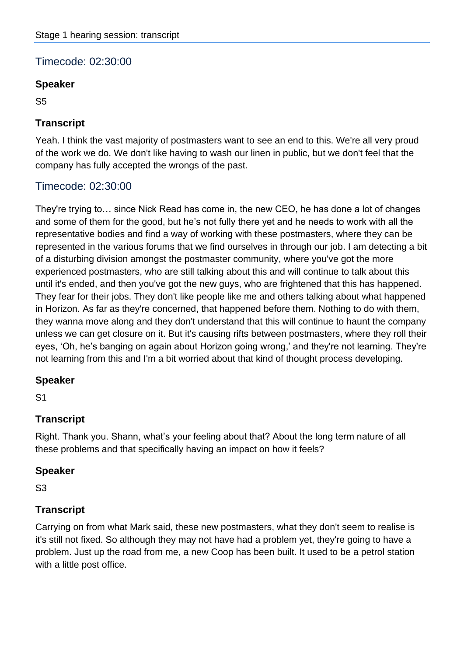# Timecode: 02:30:00

### **Speaker**

S5

## **Transcript**

Yeah. I think the vast majority of postmasters want to see an end to this. We're all very proud of the work we do. We don't like having to wash our linen in public, but we don't feel that the company has fully accepted the wrongs of the past.

## Timecode: 02:30:00

They're trying to… since Nick Read has come in, the new CEO, he has done a lot of changes and some of them for the good, but he's not fully there yet and he needs to work with all the representative bodies and find a way of working with these postmasters, where they can be represented in the various forums that we find ourselves in through our job. I am detecting a bit of a disturbing division amongst the postmaster community, where you've got the more experienced postmasters, who are still talking about this and will continue to talk about this until it's ended, and then you've got the new guys, who are frightened that this has happened. They fear for their jobs. They don't like people like me and others talking about what happened in Horizon. As far as they're concerned, that happened before them. Nothing to do with them, they wanna move along and they don't understand that this will continue to haunt the company unless we can get closure on it. But it's causing rifts between postmasters, where they roll their eyes, 'Oh, he's banging on again about Horizon going wrong,' and they're not learning. They're not learning from this and I'm a bit worried about that kind of thought process developing.

### **Speaker**

S1

## **Transcript**

Right. Thank you. Shann, what's your feeling about that? About the long term nature of all these problems and that specifically having an impact on how it feels?

### **Speaker**

S3

## **Transcript**

Carrying on from what Mark said, these new postmasters, what they don't seem to realise is it's still not fixed. So although they may not have had a problem yet, they're going to have a problem. Just up the road from me, a new Coop has been built. It used to be a petrol station with a little post office.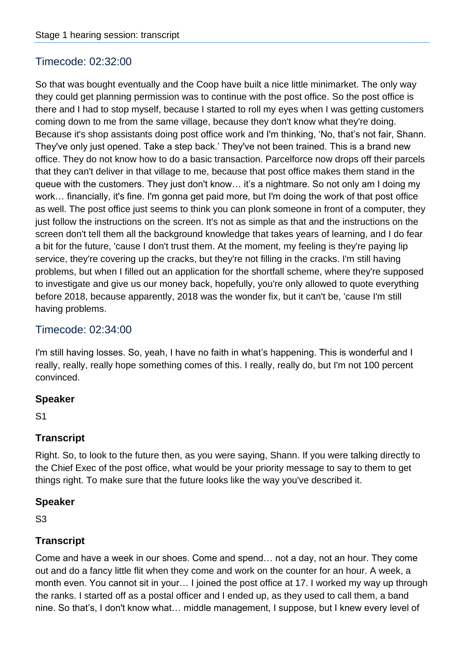## Timecode: 02:32:00

So that was bought eventually and the Coop have built a nice little minimarket. The only way they could get planning permission was to continue with the post office. So the post office is there and I had to stop myself, because I started to roll my eyes when I was getting customers coming down to me from the same village, because they don't know what they're doing. Because it's shop assistants doing post office work and I'm thinking, 'No, that's not fair, Shann. They've only just opened. Take a step back.' They've not been trained. This is a brand new office. They do not know how to do a basic transaction. Parcelforce now drops off their parcels that they can't deliver in that village to me, because that post office makes them stand in the queue with the customers. They just don't know… it's a nightmare. So not only am I doing my work… financially, it's fine. I'm gonna get paid more, but I'm doing the work of that post office as well. The post office just seems to think you can plonk someone in front of a computer, they just follow the instructions on the screen. It's not as simple as that and the instructions on the screen don't tell them all the background knowledge that takes years of learning, and I do fear a bit for the future, 'cause I don't trust them. At the moment, my feeling is they're paying lip service, they're covering up the cracks, but they're not filling in the cracks. I'm still having problems, but when I filled out an application for the shortfall scheme, where they're supposed to investigate and give us our money back, hopefully, you're only allowed to quote everything before 2018, because apparently, 2018 was the wonder fix, but it can't be, 'cause I'm still having problems.

### Timecode: 02:34:00

I'm still having losses. So, yeah, I have no faith in what's happening. This is wonderful and I really, really, really hope something comes of this. I really, really do, but I'm not 100 percent convinced.

#### **Speaker**

S1

### **Transcript**

Right. So, to look to the future then, as you were saying, Shann. If you were talking directly to the Chief Exec of the post office, what would be your priority message to say to them to get things right. To make sure that the future looks like the way you've described it.

#### **Speaker**

S3

## **Transcript**

Come and have a week in our shoes. Come and spend… not a day, not an hour. They come out and do a fancy little flit when they come and work on the counter for an hour. A week, a month even. You cannot sit in your… I joined the post office at 17. I worked my way up through the ranks. I started off as a postal officer and I ended up, as they used to call them, a band nine. So that's, I don't know what… middle management, I suppose, but I knew every level of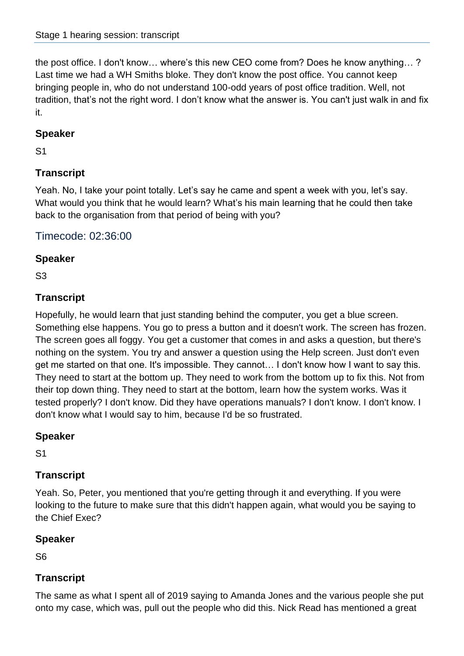the post office. I don't know… where's this new CEO come from? Does he know anything… ? Last time we had a WH Smiths bloke. They don't know the post office. You cannot keep bringing people in, who do not understand 100-odd years of post office tradition. Well, not tradition, that's not the right word. I don't know what the answer is. You can't just walk in and fix it.

### **Speaker**

S1

# **Transcript**

Yeah. No, I take your point totally. Let's say he came and spent a week with you, let's say. What would you think that he would learn? What's his main learning that he could then take back to the organisation from that period of being with you?

Timecode: 02:36:00

## **Speaker**

S3

## **Transcript**

Hopefully, he would learn that just standing behind the computer, you get a blue screen. Something else happens. You go to press a button and it doesn't work. The screen has frozen. The screen goes all foggy. You get a customer that comes in and asks a question, but there's nothing on the system. You try and answer a question using the Help screen. Just don't even get me started on that one. It's impossible. They cannot… I don't know how I want to say this. They need to start at the bottom up. They need to work from the bottom up to fix this. Not from their top down thing. They need to start at the bottom, learn how the system works. Was it tested properly? I don't know. Did they have operations manuals? I don't know. I don't know. I don't know what I would say to him, because I'd be so frustrated.

## **Speaker**

S1

## **Transcript**

Yeah. So, Peter, you mentioned that you're getting through it and everything. If you were looking to the future to make sure that this didn't happen again, what would you be saying to the Chief Exec?

## **Speaker**

S6

## **Transcript**

The same as what I spent all of 2019 saying to Amanda Jones and the various people she put onto my case, which was, pull out the people who did this. Nick Read has mentioned a great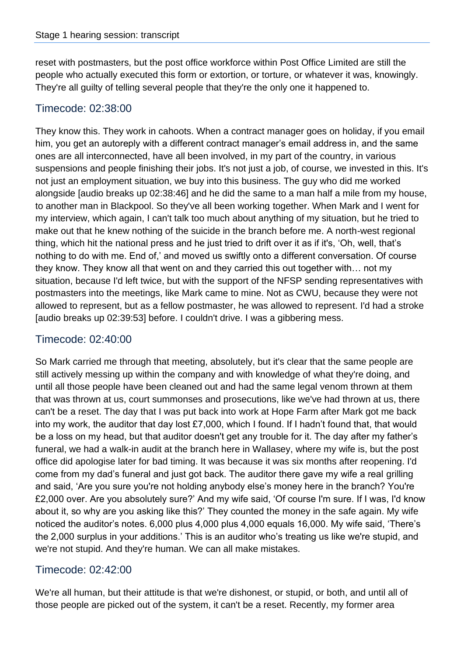reset with postmasters, but the post office workforce within Post Office Limited are still the people who actually executed this form or extortion, or torture, or whatever it was, knowingly. They're all guilty of telling several people that they're the only one it happened to.

## Timecode: 02:38:00

They know this. They work in cahoots. When a contract manager goes on holiday, if you email him, you get an autoreply with a different contract manager's email address in, and the same ones are all interconnected, have all been involved, in my part of the country, in various suspensions and people finishing their jobs. It's not just a job, of course, we invested in this. It's not just an employment situation, we buy into this business. The guy who did me worked alongside [audio breaks up 02:38:46] and he did the same to a man half a mile from my house, to another man in Blackpool. So they've all been working together. When Mark and I went for my interview, which again, I can't talk too much about anything of my situation, but he tried to make out that he knew nothing of the suicide in the branch before me. A north-west regional thing, which hit the national press and he just tried to drift over it as if it's, 'Oh, well, that's nothing to do with me. End of,' and moved us swiftly onto a different conversation. Of course they know. They know all that went on and they carried this out together with… not my situation, because I'd left twice, but with the support of the NFSP sending representatives with postmasters into the meetings, like Mark came to mine. Not as CWU, because they were not allowed to represent, but as a fellow postmaster, he was allowed to represent. I'd had a stroke [audio breaks up 02:39:53] before. I couldn't drive. I was a gibbering mess.

## Timecode: 02:40:00

So Mark carried me through that meeting, absolutely, but it's clear that the same people are still actively messing up within the company and with knowledge of what they're doing, and until all those people have been cleaned out and had the same legal venom thrown at them that was thrown at us, court summonses and prosecutions, like we've had thrown at us, there can't be a reset. The day that I was put back into work at Hope Farm after Mark got me back into my work, the auditor that day lost £7,000, which I found. If I hadn't found that, that would be a loss on my head, but that auditor doesn't get any trouble for it. The day after my father's funeral, we had a walk-in audit at the branch here in Wallasey, where my wife is, but the post office did apologise later for bad timing. It was because it was six months after reopening. I'd come from my dad's funeral and just got back. The auditor there gave my wife a real grilling and said, 'Are you sure you're not holding anybody else's money here in the branch? You're £2,000 over. Are you absolutely sure?' And my wife said, 'Of course I'm sure. If I was, I'd know about it, so why are you asking like this?' They counted the money in the safe again. My wife noticed the auditor's notes. 6,000 plus 4,000 plus 4,000 equals 16,000. My wife said, 'There's the 2,000 surplus in your additions.' This is an auditor who's treating us like we're stupid, and we're not stupid. And they're human. We can all make mistakes.

## Timecode: 02:42:00

We're all human, but their attitude is that we're dishonest, or stupid, or both, and until all of those people are picked out of the system, it can't be a reset. Recently, my former area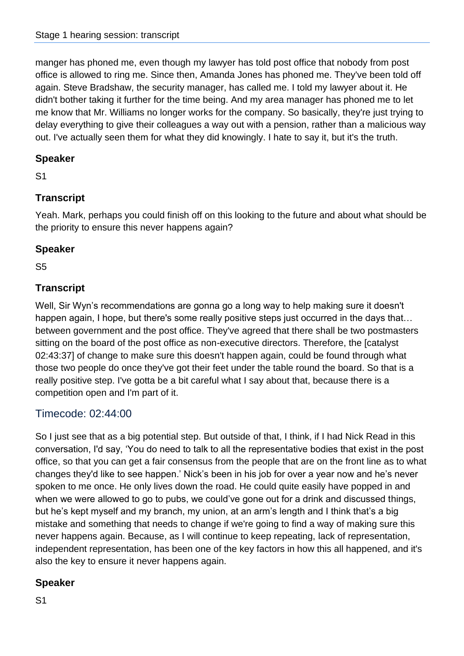manger has phoned me, even though my lawyer has told post office that nobody from post office is allowed to ring me. Since then, Amanda Jones has phoned me. They've been told off again. Steve Bradshaw, the security manager, has called me. I told my lawyer about it. He didn't bother taking it further for the time being. And my area manager has phoned me to let me know that Mr. Williams no longer works for the company. So basically, they're just trying to delay everything to give their colleagues a way out with a pension, rather than a malicious way out. I've actually seen them for what they did knowingly. I hate to say it, but it's the truth.

### **Speaker**

S1

## **Transcript**

Yeah. Mark, perhaps you could finish off on this looking to the future and about what should be the priority to ensure this never happens again?

### **Speaker**

S5

## **Transcript**

Well, Sir Wyn's recommendations are gonna go a long way to help making sure it doesn't happen again, I hope, but there's some really positive steps just occurred in the days that... between government and the post office. They've agreed that there shall be two postmasters sitting on the board of the post office as non-executive directors. Therefore, the [catalyst 02:43:37] of change to make sure this doesn't happen again, could be found through what those two people do once they've got their feet under the table round the board. So that is a really positive step. I've gotta be a bit careful what I say about that, because there is a competition open and I'm part of it.

## Timecode: 02:44:00

So I just see that as a big potential step. But outside of that, I think, if I had Nick Read in this conversation, I'd say, 'You do need to talk to all the representative bodies that exist in the post office, so that you can get a fair consensus from the people that are on the front line as to what changes they'd like to see happen.' Nick's been in his job for over a year now and he's never spoken to me once. He only lives down the road. He could quite easily have popped in and when we were allowed to go to pubs, we could've gone out for a drink and discussed things, but he's kept myself and my branch, my union, at an arm's length and I think that's a big mistake and something that needs to change if we're going to find a way of making sure this never happens again. Because, as I will continue to keep repeating, lack of representation, independent representation, has been one of the key factors in how this all happened, and it's also the key to ensure it never happens again.

### **Speaker**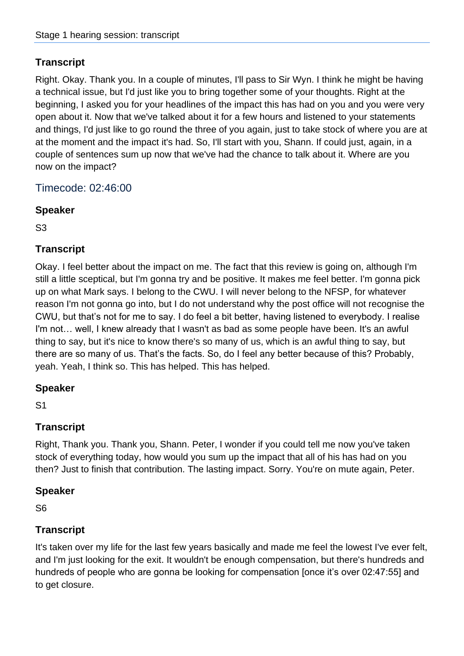Right. Okay. Thank you. In a couple of minutes, I'll pass to Sir Wyn. I think he might be having a technical issue, but I'd just like you to bring together some of your thoughts. Right at the beginning, I asked you for your headlines of the impact this has had on you and you were very open about it. Now that we've talked about it for a few hours and listened to your statements and things, I'd just like to go round the three of you again, just to take stock of where you are at at the moment and the impact it's had. So, I'll start with you, Shann. If could just, again, in a couple of sentences sum up now that we've had the chance to talk about it. Where are you now on the impact?

Timecode: 02:46:00

### **Speaker**

S3

## **Transcript**

Okay. I feel better about the impact on me. The fact that this review is going on, although I'm still a little sceptical, but I'm gonna try and be positive. It makes me feel better. I'm gonna pick up on what Mark says. I belong to the CWU. I will never belong to the NFSP, for whatever reason I'm not gonna go into, but I do not understand why the post office will not recognise the CWU, but that's not for me to say. I do feel a bit better, having listened to everybody. I realise I'm not… well, I knew already that I wasn't as bad as some people have been. It's an awful thing to say, but it's nice to know there's so many of us, which is an awful thing to say, but there are so many of us. That's the facts. So, do I feel any better because of this? Probably, yeah. Yeah, I think so. This has helped. This has helped.

### **Speaker**

S1

## **Transcript**

Right, Thank you. Thank you, Shann. Peter, I wonder if you could tell me now you've taken stock of everything today, how would you sum up the impact that all of his has had on you then? Just to finish that contribution. The lasting impact. Sorry. You're on mute again, Peter.

### **Speaker**

S6

### **Transcript**

It's taken over my life for the last few years basically and made me feel the lowest I've ever felt, and I'm just looking for the exit. It wouldn't be enough compensation, but there's hundreds and hundreds of people who are gonna be looking for compensation [once it's over 02:47:55] and to get closure.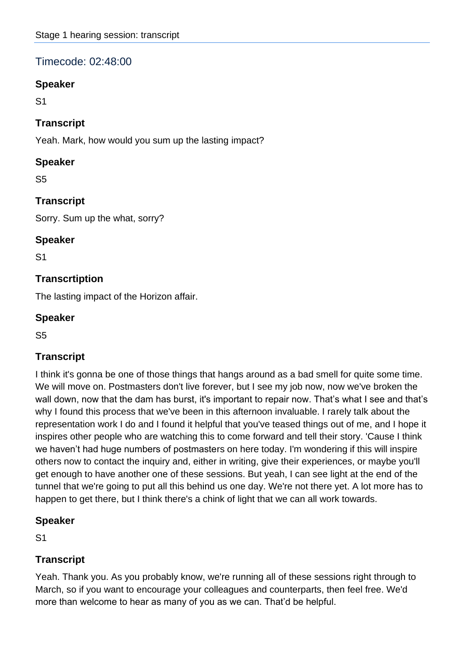## Timecode: 02:48:00

### **Speaker**

S1

### **Transcript**

Yeah. Mark, how would you sum up the lasting impact?

### **Speaker**

S5

## **Transcript**

Sorry. Sum up the what, sorry?

### **Speaker**

S1

## **Transcrtiption**

The lasting impact of the Horizon affair.

### **Speaker**

S5

## **Transcript**

I think it's gonna be one of those things that hangs around as a bad smell for quite some time. We will move on. Postmasters don't live forever, but I see my job now, now we've broken the wall down, now that the dam has burst, it's important to repair now. That's what I see and that's why I found this process that we've been in this afternoon invaluable. I rarely talk about the representation work I do and I found it helpful that you've teased things out of me, and I hope it inspires other people who are watching this to come forward and tell their story. 'Cause I think we haven't had huge numbers of postmasters on here today. I'm wondering if this will inspire others now to contact the inquiry and, either in writing, give their experiences, or maybe you'll get enough to have another one of these sessions. But yeah, I can see light at the end of the tunnel that we're going to put all this behind us one day. We're not there yet. A lot more has to happen to get there, but I think there's a chink of light that we can all work towards.

### **Speaker**

S1

## **Transcript**

Yeah. Thank you. As you probably know, we're running all of these sessions right through to March, so if you want to encourage your colleagues and counterparts, then feel free. We'd more than welcome to hear as many of you as we can. That'd be helpful.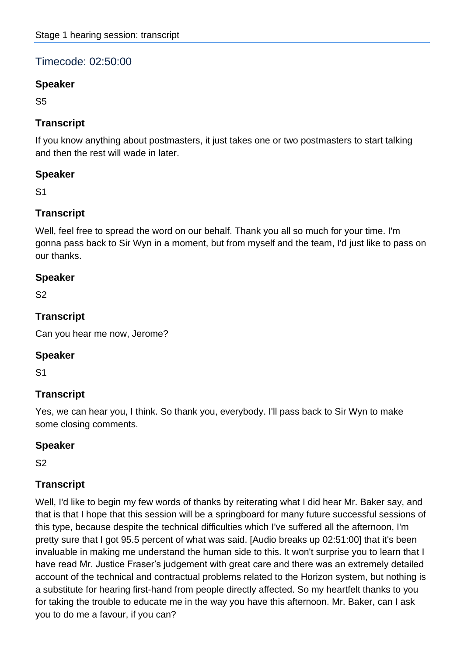# Timecode: 02:50:00

### **Speaker**

S5

### **Transcript**

If you know anything about postmasters, it just takes one or two postmasters to start talking and then the rest will wade in later.

### **Speaker**

S1

## **Transcript**

Well, feel free to spread the word on our behalf. Thank you all so much for your time. I'm gonna pass back to Sir Wyn in a moment, but from myself and the team, I'd just like to pass on our thanks.

### **Speaker**

S2

### **Transcript**

Can you hear me now, Jerome?

### **Speaker**

S1

## **Transcript**

Yes, we can hear you, I think. So thank you, everybody. I'll pass back to Sir Wyn to make some closing comments.

### **Speaker**

S2

## **Transcript**

Well, I'd like to begin my few words of thanks by reiterating what I did hear Mr. Baker say, and that is that I hope that this session will be a springboard for many future successful sessions of this type, because despite the technical difficulties which I've suffered all the afternoon, I'm pretty sure that I got 95.5 percent of what was said. [Audio breaks up 02:51:00] that it's been invaluable in making me understand the human side to this. It won't surprise you to learn that I have read Mr. Justice Fraser's judgement with great care and there was an extremely detailed account of the technical and contractual problems related to the Horizon system, but nothing is a substitute for hearing first-hand from people directly affected. So my heartfelt thanks to you for taking the trouble to educate me in the way you have this afternoon. Mr. Baker, can I ask you to do me a favour, if you can?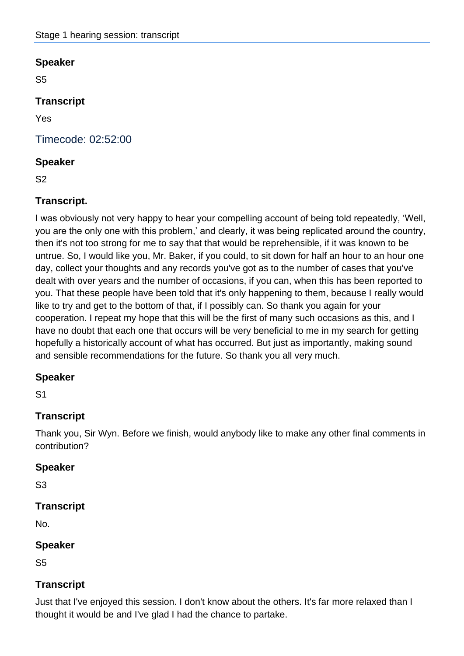S5

### **Transcript**

Yes

Timecode: 02:52:00

#### **Speaker**

S2

### **Transcript.**

I was obviously not very happy to hear your compelling account of being told repeatedly, 'Well, you are the only one with this problem,' and clearly, it was being replicated around the country, then it's not too strong for me to say that that would be reprehensible, if it was known to be untrue. So, I would like you, Mr. Baker, if you could, to sit down for half an hour to an hour one day, collect your thoughts and any records you've got as to the number of cases that you've dealt with over years and the number of occasions, if you can, when this has been reported to you. That these people have been told that it's only happening to them, because I really would like to try and get to the bottom of that, if I possibly can. So thank you again for your cooperation. I repeat my hope that this will be the first of many such occasions as this, and I have no doubt that each one that occurs will be very beneficial to me in my search for getting hopefully a historically account of what has occurred. But just as importantly, making sound and sensible recommendations for the future. So thank you all very much.

### **Speaker**

S1

## **Transcript**

Thank you, Sir Wyn. Before we finish, would anybody like to make any other final comments in contribution?

### **Speaker**

S3

### **Transcript**

No.

### **Speaker**

S5

### **Transcript**

Just that I've enjoyed this session. I don't know about the others. It's far more relaxed than I thought it would be and I've glad I had the chance to partake.